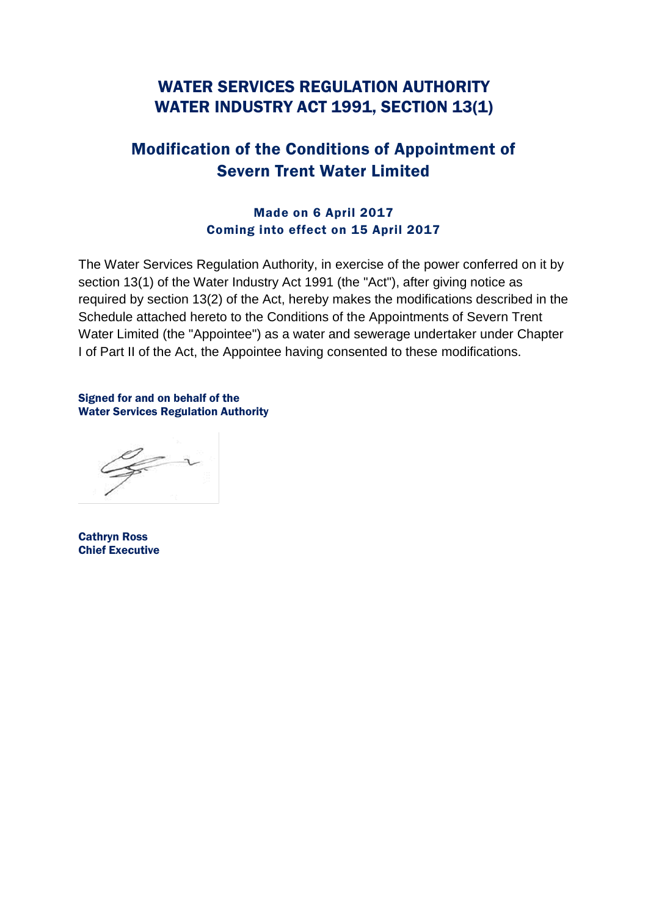# WATER SERVICES REGULATION AUTHORITY WATER INDUSTRY ACT 1991, SECTION 13(1)

# Modification of the Conditions of Appointment of Severn Trent Water Limited

## Made on 6 April 2017 Coming into effect on 15 April 2017

The Water Services Regulation Authority, in exercise of the power conferred on it by section 13(1) of the Water Industry Act 1991 (the "Act"), after giving notice as required by section 13(2) of the Act, hereby makes the modifications described in the Schedule attached hereto to the Conditions of the Appointments of Severn Trent Water Limited (the "Appointee") as a water and sewerage undertaker under Chapter I of Part II of the Act, the Appointee having consented to these modifications.

Signed for and on behalf of the Water Services Regulation Authority

Cathryn Ross Chief Executive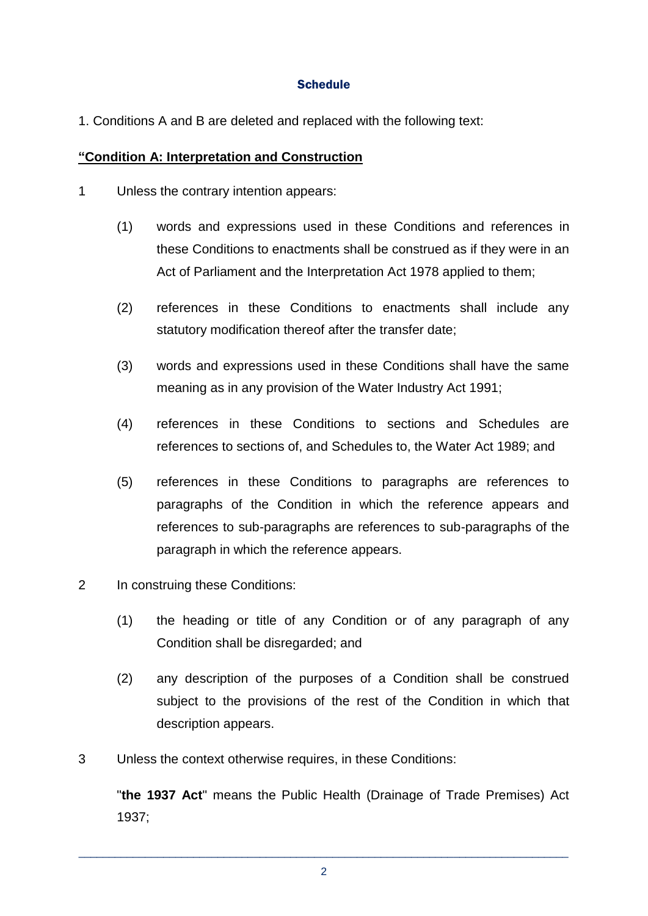#### **Schedule**

1. Conditions A and B are deleted and replaced with the following text:

#### **"Condition A: Interpretation and Construction**

- 1 Unless the contrary intention appears:
	- (1) words and expressions used in these Conditions and references in these Conditions to enactments shall be construed as if they were in an Act of Parliament and the Interpretation Act 1978 applied to them;
	- (2) references in these Conditions to enactments shall include any statutory modification thereof after the transfer date;
	- (3) words and expressions used in these Conditions shall have the same meaning as in any provision of the Water Industry Act 1991;
	- (4) references in these Conditions to sections and Schedules are references to sections of, and Schedules to, the Water Act 1989; and
	- (5) references in these Conditions to paragraphs are references to paragraphs of the Condition in which the reference appears and references to sub-paragraphs are references to sub-paragraphs of the paragraph in which the reference appears.
- 2 In construing these Conditions:
	- (1) the heading or title of any Condition or of any paragraph of any Condition shall be disregarded; and
	- (2) any description of the purposes of a Condition shall be construed subject to the provisions of the rest of the Condition in which that description appears.
- 3 Unless the context otherwise requires, in these Conditions:

"**the 1937 Act**" means the Public Health (Drainage of Trade Premises) Act 1937;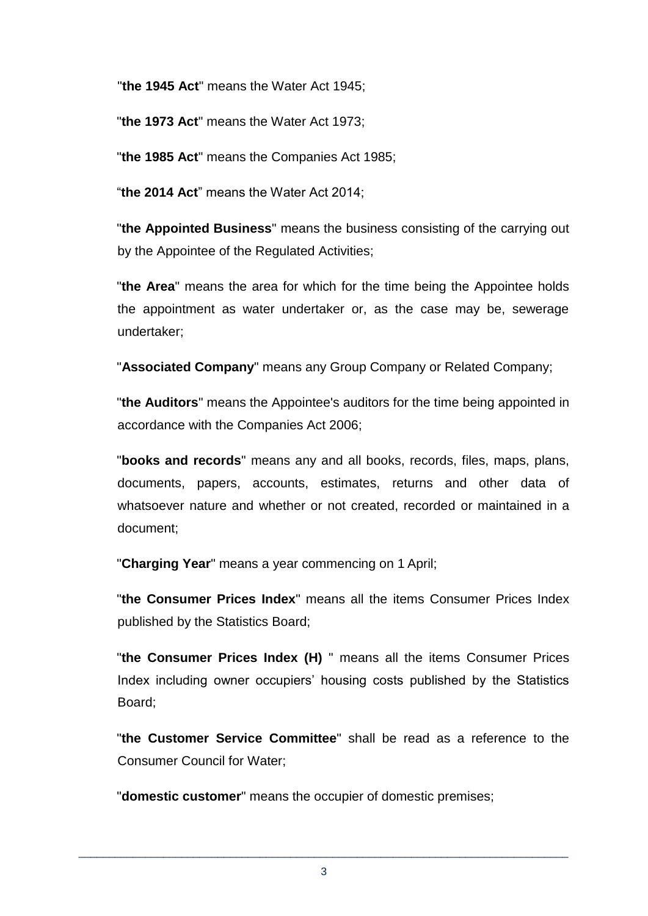"**the 1945 Act**" means the Water Act 1945;

"**the 1973 Act**" means the Water Act 1973;

"**the 1985 Act**" means the Companies Act 1985;

"**the 2014 Act**" means the Water Act 2014;

"**the Appointed Business**" means the business consisting of the carrying out by the Appointee of the Regulated Activities;

"**the Area**" means the area for which for the time being the Appointee holds the appointment as water undertaker or, as the case may be, sewerage undertaker;

"**Associated Company**" means any Group Company or Related Company;

"**the Auditors**" means the Appointee's auditors for the time being appointed in accordance with the Companies Act 2006;

"**books and records**" means any and all books, records, files, maps, plans, documents, papers, accounts, estimates, returns and other data of whatsoever nature and whether or not created, recorded or maintained in a document;

"**Charging Year**" means a year commencing on 1 April;

"**the Consumer Prices Index**" means all the items Consumer Prices Index published by the Statistics Board;

"**the Consumer Prices Index (H)** " means all the items Consumer Prices Index including owner occupiers' housing costs published by the Statistics Board;

"**the Customer Service Committee**" shall be read as a reference to the Consumer Council for Water;

"**domestic customer**" means the occupier of domestic premises;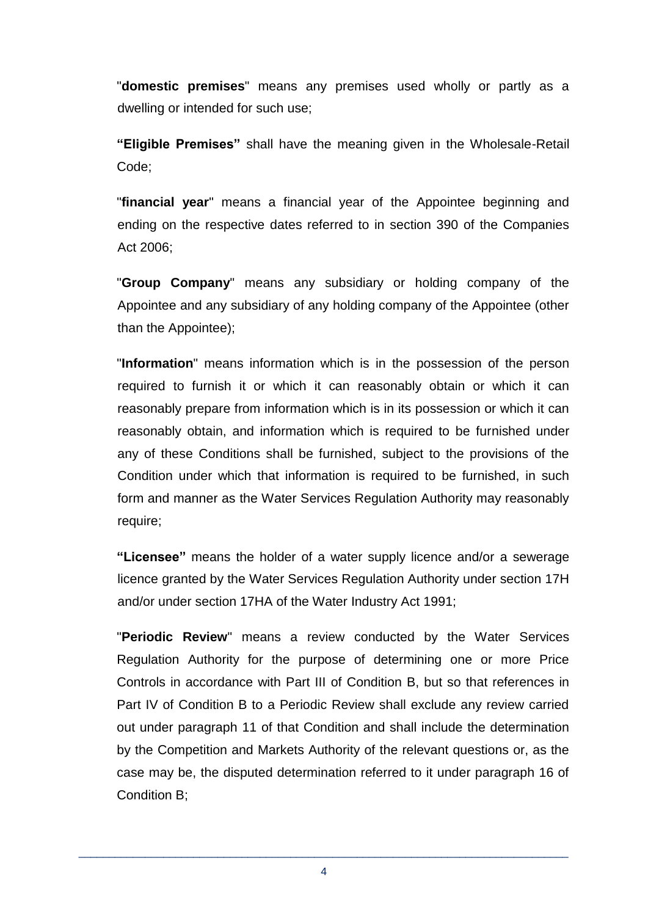"**domestic premises**" means any premises used wholly or partly as a dwelling or intended for such use;

**"Eligible Premises"** shall have the meaning given in the Wholesale-Retail Code;

"**financial year**" means a financial year of the Appointee beginning and ending on the respective dates referred to in section 390 of the Companies Act 2006;

"**Group Company**" means any subsidiary or holding company of the Appointee and any subsidiary of any holding company of the Appointee (other than the Appointee);

"**Information**" means information which is in the possession of the person required to furnish it or which it can reasonably obtain or which it can reasonably prepare from information which is in its possession or which it can reasonably obtain, and information which is required to be furnished under any of these Conditions shall be furnished, subject to the provisions of the Condition under which that information is required to be furnished, in such form and manner as the Water Services Regulation Authority may reasonably require;

**"Licensee"** means the holder of a water supply licence and/or a sewerage licence granted by the Water Services Regulation Authority under section 17H and/or under section 17HA of the Water Industry Act 1991;

"**Periodic Review**" means a review conducted by the Water Services Regulation Authority for the purpose of determining one or more Price Controls in accordance with Part III of Condition B, but so that references in Part IV of Condition B to a Periodic Review shall exclude any review carried out under paragraph 11 of that Condition and shall include the determination by the Competition and Markets Authority of the relevant questions or, as the case may be, the disputed determination referred to it under paragraph 16 of Condition B;

\_\_\_\_\_\_\_\_\_\_\_\_\_\_\_\_\_\_\_\_\_\_\_\_\_\_\_\_\_\_\_\_\_\_\_\_\_\_\_\_\_\_\_\_\_\_\_\_\_\_\_\_\_\_\_\_\_\_\_\_\_\_\_\_\_\_\_\_\_\_\_\_\_\_\_\_\_\_\_\_\_ 4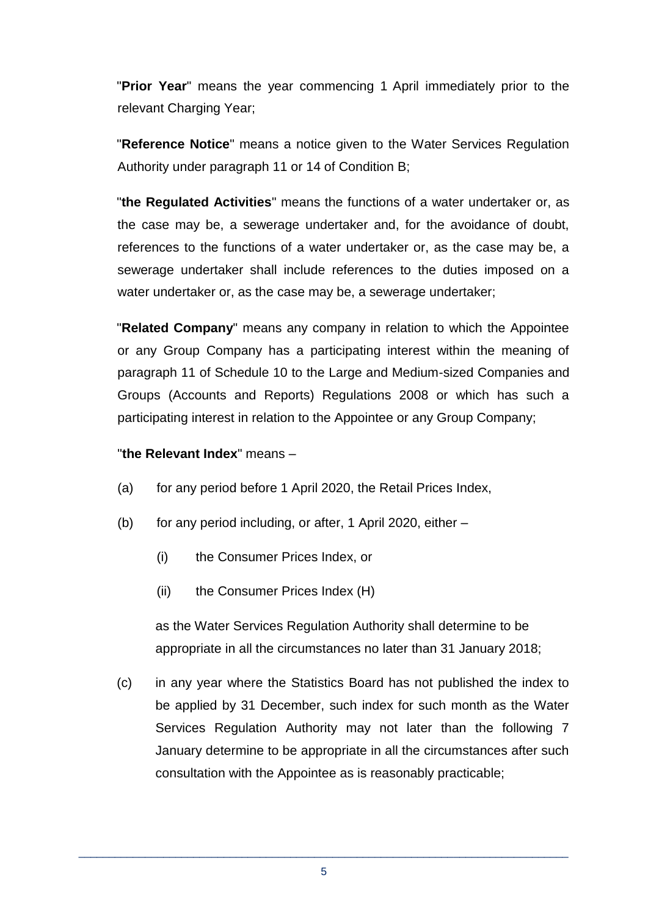"**Prior Year**" means the year commencing 1 April immediately prior to the relevant Charging Year;

"**Reference Notice**" means a notice given to the Water Services Regulation Authority under paragraph 11 or 14 of Condition B;

"**the Regulated Activities**" means the functions of a water undertaker or, as the case may be, a sewerage undertaker and, for the avoidance of doubt, references to the functions of a water undertaker or, as the case may be, a sewerage undertaker shall include references to the duties imposed on a water undertaker or, as the case may be, a sewerage undertaker;

"**Related Company**" means any company in relation to which the Appointee or any Group Company has a participating interest within the meaning of paragraph 11 of Schedule 10 to the Large and Medium-sized Companies and Groups (Accounts and Reports) Regulations 2008 or which has such a participating interest in relation to the Appointee or any Group Company;

#### "**the Relevant Index**" means –

- (a) for any period before 1 April 2020, the Retail Prices Index,
- (b) for any period including, or after, 1 April 2020, either
	- (i) the Consumer Prices Index, or
	- (ii) the Consumer Prices Index (H)

as the Water Services Regulation Authority shall determine to be appropriate in all the circumstances no later than 31 January 2018;

(c) in any year where the Statistics Board has not published the index to be applied by 31 December, such index for such month as the Water Services Regulation Authority may not later than the following 7 January determine to be appropriate in all the circumstances after such consultation with the Appointee as is reasonably practicable;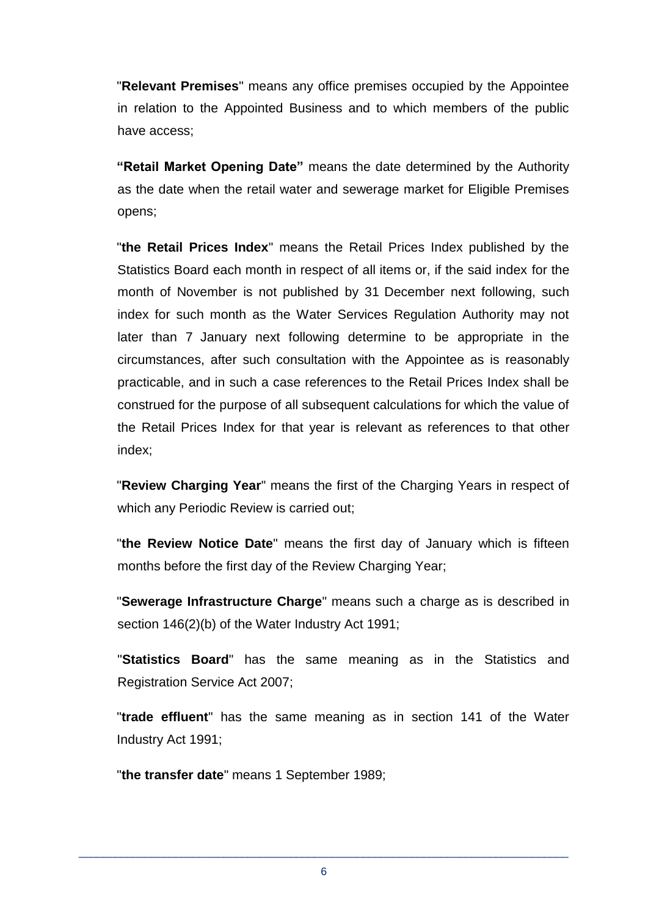"**Relevant Premises**" means any office premises occupied by the Appointee in relation to the Appointed Business and to which members of the public have access;

**"Retail Market Opening Date"** means the date determined by the Authority as the date when the retail water and sewerage market for Eligible Premises opens;

"**the Retail Prices Index**" means the Retail Prices Index published by the Statistics Board each month in respect of all items or, if the said index for the month of November is not published by 31 December next following, such index for such month as the Water Services Regulation Authority may not later than 7 January next following determine to be appropriate in the circumstances, after such consultation with the Appointee as is reasonably practicable, and in such a case references to the Retail Prices Index shall be construed for the purpose of all subsequent calculations for which the value of the Retail Prices Index for that year is relevant as references to that other index;

"**Review Charging Year**" means the first of the Charging Years in respect of which any Periodic Review is carried out;

"**the Review Notice Date**" means the first day of January which is fifteen months before the first day of the Review Charging Year;

"**Sewerage Infrastructure Charge**" means such a charge as is described in section 146(2)(b) of the Water Industry Act 1991;

"**Statistics Board**" has the same meaning as in the Statistics and Registration Service Act 2007;

"**trade effluent**" has the same meaning as in section 141 of the Water Industry Act 1991;

"**the transfer date**" means 1 September 1989;

\_\_\_\_\_\_\_\_\_\_\_\_\_\_\_\_\_\_\_\_\_\_\_\_\_\_\_\_\_\_\_\_\_\_\_\_\_\_\_\_\_\_\_\_\_\_\_\_\_\_\_\_\_\_\_\_\_\_\_\_\_\_\_\_\_\_\_\_\_\_\_\_\_\_\_\_\_\_\_\_\_ 6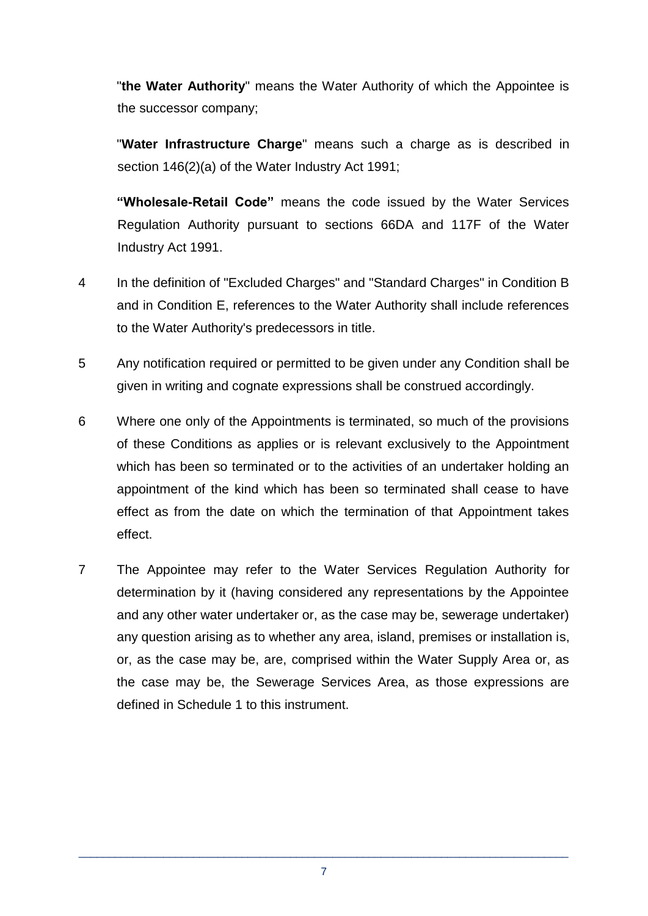"**the Water Authority**" means the Water Authority of which the Appointee is the successor company;

"**Water Infrastructure Charge**" means such a charge as is described in section 146(2)(a) of the Water Industry Act 1991;

**"Wholesale-Retail Code"** means the code issued by the Water Services Regulation Authority pursuant to sections 66DA and 117F of the Water Industry Act 1991.

- 4 In the definition of "Excluded Charges" and "Standard Charges" in Condition B and in Condition E, references to the Water Authority shall include references to the Water Authority's predecessors in title.
- 5 Any notification required or permitted to be given under any Condition shall be given in writing and cognate expressions shall be construed accordingly.
- 6 Where one only of the Appointments is terminated, so much of the provisions of these Conditions as applies or is relevant exclusively to the Appointment which has been so terminated or to the activities of an undertaker holding an appointment of the kind which has been so terminated shall cease to have effect as from the date on which the termination of that Appointment takes effect.
- 7 The Appointee may refer to the Water Services Regulation Authority for determination by it (having considered any representations by the Appointee and any other water undertaker or, as the case may be, sewerage undertaker) any question arising as to whether any area, island, premises or installation is, or, as the case may be, are, comprised within the Water Supply Area or, as the case may be, the Sewerage Services Area, as those expressions are defined in Schedule 1 to this instrument.

\_\_\_\_\_\_\_\_\_\_\_\_\_\_\_\_\_\_\_\_\_\_\_\_\_\_\_\_\_\_\_\_\_\_\_\_\_\_\_\_\_\_\_\_\_\_\_\_\_\_\_\_\_\_\_\_\_\_\_\_\_\_\_\_\_\_\_\_\_\_\_\_\_\_\_\_\_\_\_\_\_ 7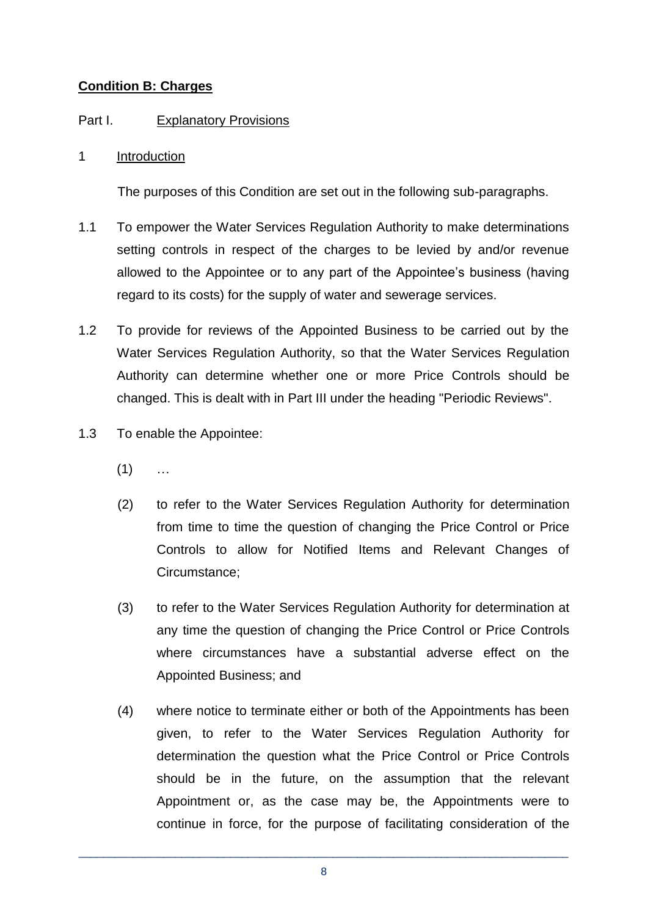## **Condition B: Charges**

## Part I. Explanatory Provisions

#### 1 Introduction

The purposes of this Condition are set out in the following sub-paragraphs.

- 1.1 To empower the Water Services Regulation Authority to make determinations setting controls in respect of the charges to be levied by and/or revenue allowed to the Appointee or to any part of the Appointee's business (having regard to its costs) for the supply of water and sewerage services.
- 1.2 To provide for reviews of the Appointed Business to be carried out by the Water Services Regulation Authority, so that the Water Services Regulation Authority can determine whether one or more Price Controls should be changed. This is dealt with in Part III under the heading "Periodic Reviews".
- 1.3 To enable the Appointee:
	- $(1)$  ...
	- (2) to refer to the Water Services Regulation Authority for determination from time to time the question of changing the Price Control or Price Controls to allow for Notified Items and Relevant Changes of Circumstance;
	- (3) to refer to the Water Services Regulation Authority for determination at any time the question of changing the Price Control or Price Controls where circumstances have a substantial adverse effect on the Appointed Business; and
	- (4) where notice to terminate either or both of the Appointments has been given, to refer to the Water Services Regulation Authority for determination the question what the Price Control or Price Controls should be in the future, on the assumption that the relevant Appointment or, as the case may be, the Appointments were to continue in force, for the purpose of facilitating consideration of the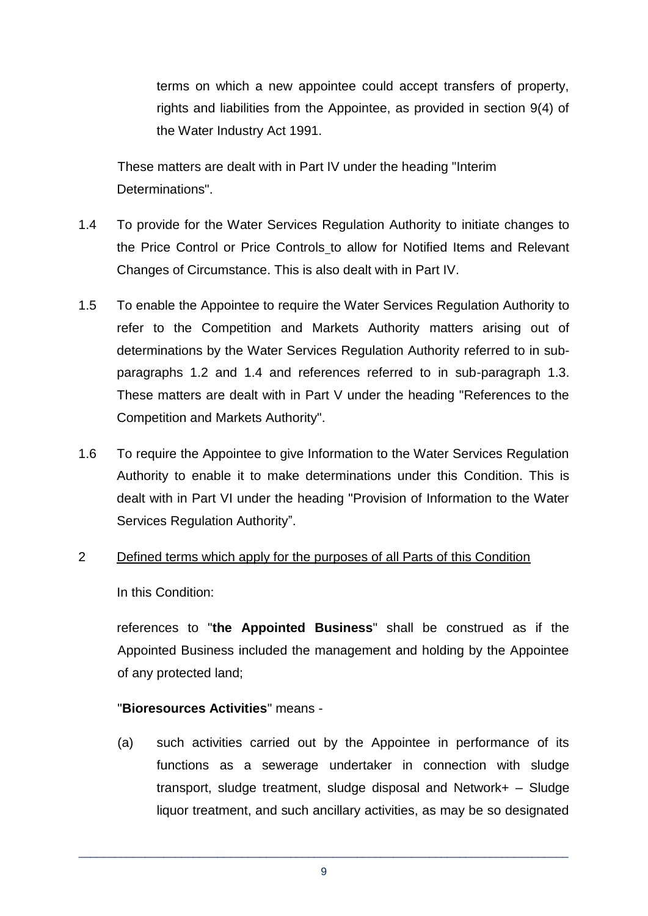terms on which a new appointee could accept transfers of property, rights and liabilities from the Appointee, as provided in section 9(4) of the Water Industry Act 1991.

These matters are dealt with in Part IV under the heading "Interim Determinations".

- 1.4 To provide for the Water Services Regulation Authority to initiate changes to the Price Control or Price Controls to allow for Notified Items and Relevant Changes of Circumstance. This is also dealt with in Part IV.
- 1.5 To enable the Appointee to require the Water Services Regulation Authority to refer to the Competition and Markets Authority matters arising out of determinations by the Water Services Regulation Authority referred to in subparagraphs 1.2 and 1.4 and references referred to in sub-paragraph 1.3. These matters are dealt with in Part V under the heading "References to the Competition and Markets Authority".
- 1.6 To require the Appointee to give Information to the Water Services Regulation Authority to enable it to make determinations under this Condition. This is dealt with in Part VI under the heading "Provision of Information to the Water Services Regulation Authority".

#### 2 Defined terms which apply for the purposes of all Parts of this Condition

In this Condition:

references to "**the Appointed Business**" shall be construed as if the Appointed Business included the management and holding by the Appointee of any protected land;

#### "**Bioresources Activities**" means -

(a) such activities carried out by the Appointee in performance of its functions as a sewerage undertaker in connection with sludge transport, sludge treatment, sludge disposal and Network+ – Sludge liquor treatment, and such ancillary activities, as may be so designated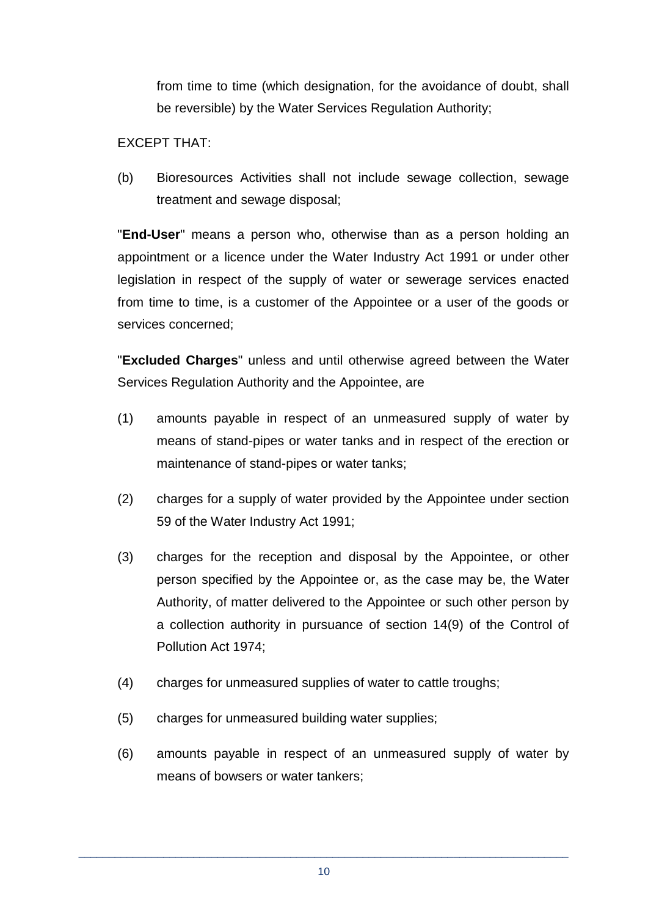from time to time (which designation, for the avoidance of doubt, shall be reversible) by the Water Services Regulation Authority;

#### EXCEPT THAT:

(b) Bioresources Activities shall not include sewage collection, sewage treatment and sewage disposal;

"**End-User**" means a person who, otherwise than as a person holding an appointment or a licence under the Water Industry Act 1991 or under other legislation in respect of the supply of water or sewerage services enacted from time to time, is a customer of the Appointee or a user of the goods or services concerned;

"**Excluded Charges**" unless and until otherwise agreed between the Water Services Regulation Authority and the Appointee, are

- (1) amounts payable in respect of an unmeasured supply of water by means of stand-pipes or water tanks and in respect of the erection or maintenance of stand-pipes or water tanks;
- (2) charges for a supply of water provided by the Appointee under section 59 of the Water Industry Act 1991;
- (3) charges for the reception and disposal by the Appointee, or other person specified by the Appointee or, as the case may be, the Water Authority, of matter delivered to the Appointee or such other person by a collection authority in pursuance of section 14(9) of the Control of Pollution Act 1974;
- (4) charges for unmeasured supplies of water to cattle troughs;
- (5) charges for unmeasured building water supplies;
- (6) amounts payable in respect of an unmeasured supply of water by means of bowsers or water tankers;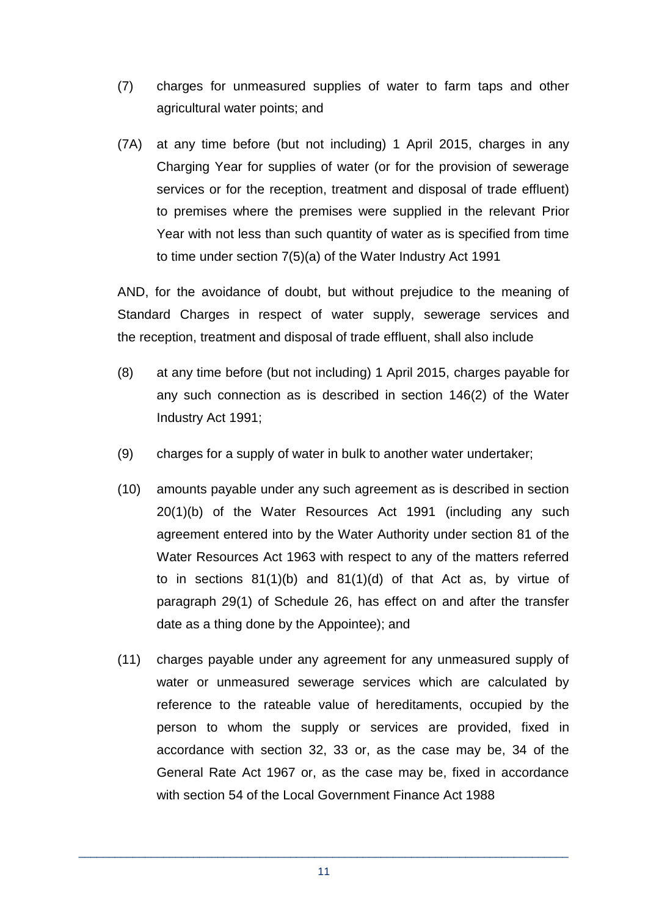- (7) charges for unmeasured supplies of water to farm taps and other agricultural water points; and
- (7A) at any time before (but not including) 1 April 2015, charges in any Charging Year for supplies of water (or for the provision of sewerage services or for the reception, treatment and disposal of trade effluent) to premises where the premises were supplied in the relevant Prior Year with not less than such quantity of water as is specified from time to time under section 7(5)(a) of the Water Industry Act 1991

AND, for the avoidance of doubt, but without prejudice to the meaning of Standard Charges in respect of water supply, sewerage services and the reception, treatment and disposal of trade effluent, shall also include

- (8) at any time before (but not including) 1 April 2015, charges payable for any such connection as is described in section 146(2) of the Water Industry Act 1991;
- (9) charges for a supply of water in bulk to another water undertaker;
- (10) amounts payable under any such agreement as is described in section 20(1)(b) of the Water Resources Act 1991 (including any such agreement entered into by the Water Authority under section 81 of the Water Resources Act 1963 with respect to any of the matters referred to in sections 81(1)(b) and 81(1)(d) of that Act as, by virtue of paragraph 29(1) of Schedule 26, has effect on and after the transfer date as a thing done by the Appointee); and
- (11) charges payable under any agreement for any unmeasured supply of water or unmeasured sewerage services which are calculated by reference to the rateable value of hereditaments, occupied by the person to whom the supply or services are provided, fixed in accordance with section 32, 33 or, as the case may be, 34 of the General Rate Act 1967 or, as the case may be, fixed in accordance with section 54 of the Local Government Finance Act 1988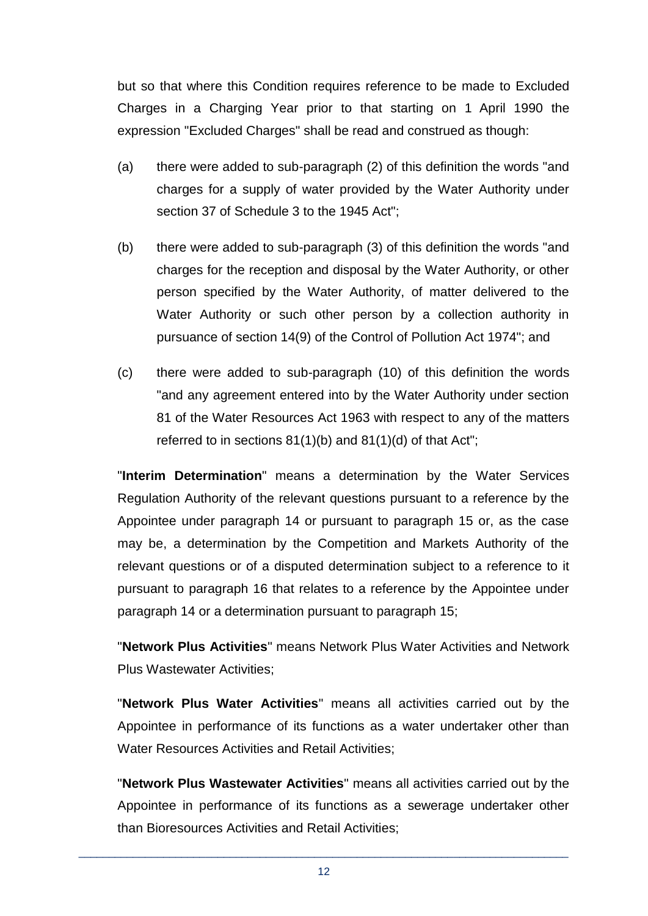but so that where this Condition requires reference to be made to Excluded Charges in a Charging Year prior to that starting on 1 April 1990 the expression "Excluded Charges" shall be read and construed as though:

- (a) there were added to sub-paragraph (2) of this definition the words "and charges for a supply of water provided by the Water Authority under section 37 of Schedule 3 to the 1945 Act";
- (b) there were added to sub-paragraph (3) of this definition the words "and charges for the reception and disposal by the Water Authority, or other person specified by the Water Authority, of matter delivered to the Water Authority or such other person by a collection authority in pursuance of section 14(9) of the Control of Pollution Act 1974"; and
- (c) there were added to sub-paragraph (10) of this definition the words "and any agreement entered into by the Water Authority under section 81 of the Water Resources Act 1963 with respect to any of the matters referred to in sections 81(1)(b) and 81(1)(d) of that Act";

"**Interim Determination**" means a determination by the Water Services Regulation Authority of the relevant questions pursuant to a reference by the Appointee under paragraph 14 or pursuant to paragraph 15 or, as the case may be, a determination by the Competition and Markets Authority of the relevant questions or of a disputed determination subject to a reference to it pursuant to paragraph 16 that relates to a reference by the Appointee under paragraph 14 or a determination pursuant to paragraph 15;

"**Network Plus Activities**" means Network Plus Water Activities and Network Plus Wastewater Activities;

"**Network Plus Water Activities**" means all activities carried out by the Appointee in performance of its functions as a water undertaker other than Water Resources Activities and Retail Activities;

"**Network Plus Wastewater Activities**" means all activities carried out by the Appointee in performance of its functions as a sewerage undertaker other than Bioresources Activities and Retail Activities;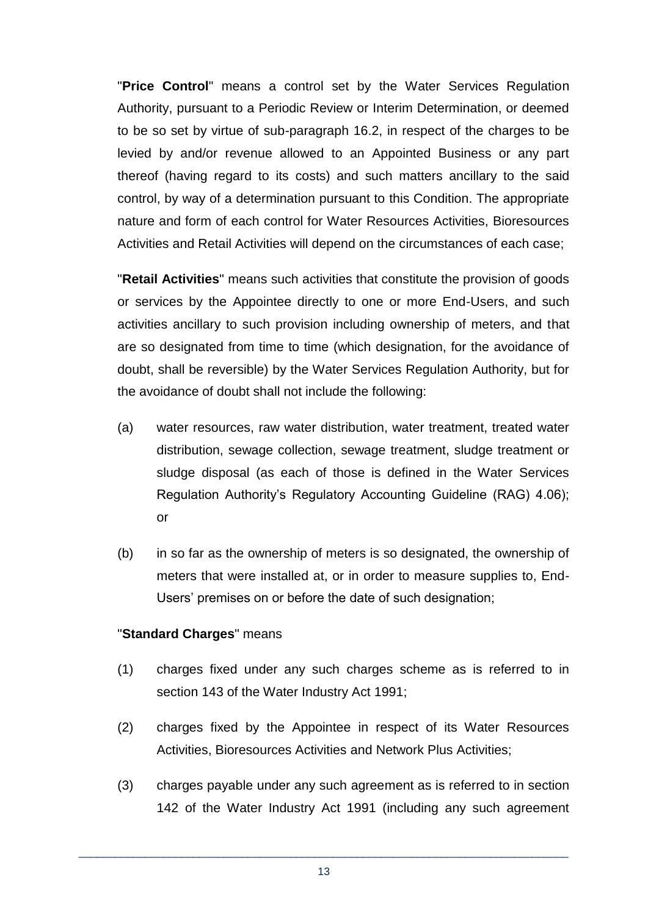"**Price Control**" means a control set by the Water Services Regulation Authority, pursuant to a Periodic Review or Interim Determination, or deemed to be so set by virtue of sub-paragraph 16.2, in respect of the charges to be levied by and/or revenue allowed to an Appointed Business or any part thereof (having regard to its costs) and such matters ancillary to the said control, by way of a determination pursuant to this Condition. The appropriate nature and form of each control for Water Resources Activities, Bioresources Activities and Retail Activities will depend on the circumstances of each case;

"**Retail Activities**" means such activities that constitute the provision of goods or services by the Appointee directly to one or more End-Users, and such activities ancillary to such provision including ownership of meters, and that are so designated from time to time (which designation, for the avoidance of doubt, shall be reversible) by the Water Services Regulation Authority, but for the avoidance of doubt shall not include the following:

- (a) water resources, raw water distribution, water treatment, treated water distribution, sewage collection, sewage treatment, sludge treatment or sludge disposal (as each of those is defined in the Water Services Regulation Authority's Regulatory Accounting Guideline (RAG) 4.06); or
- (b) in so far as the ownership of meters is so designated, the ownership of meters that were installed at, or in order to measure supplies to, End-Users' premises on or before the date of such designation;

#### "**Standard Charges**" means

- (1) charges fixed under any such charges scheme as is referred to in section 143 of the Water Industry Act 1991;
- (2) charges fixed by the Appointee in respect of its Water Resources Activities, Bioresources Activities and Network Plus Activities;
- (3) charges payable under any such agreement as is referred to in section 142 of the Water Industry Act 1991 (including any such agreement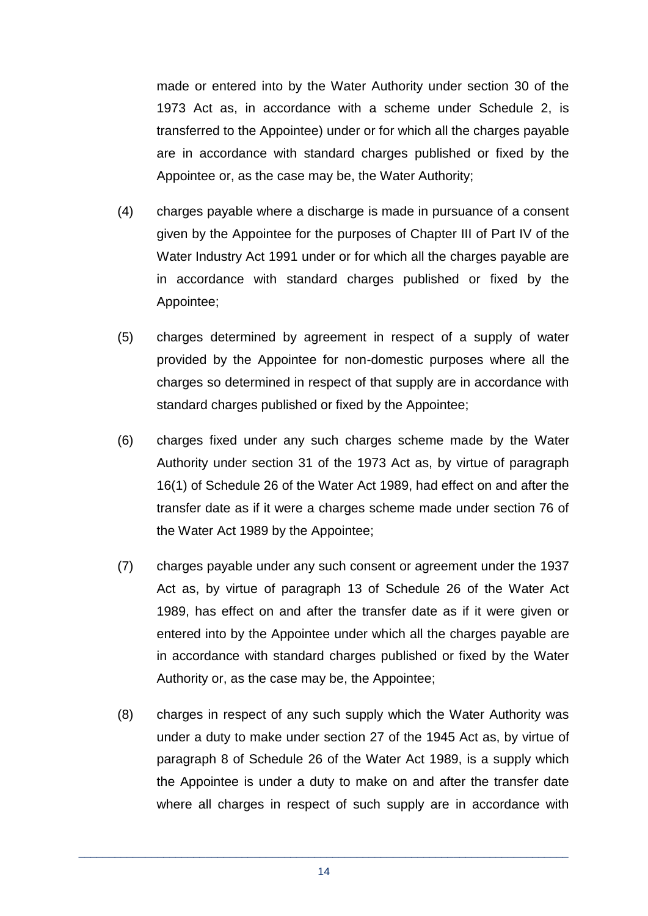made or entered into by the Water Authority under section 30 of the 1973 Act as, in accordance with a scheme under Schedule 2, is transferred to the Appointee) under or for which all the charges payable are in accordance with standard charges published or fixed by the Appointee or, as the case may be, the Water Authority;

- (4) charges payable where a discharge is made in pursuance of a consent given by the Appointee for the purposes of Chapter III of Part IV of the Water Industry Act 1991 under or for which all the charges payable are in accordance with standard charges published or fixed by the Appointee;
- (5) charges determined by agreement in respect of a supply of water provided by the Appointee for non-domestic purposes where all the charges so determined in respect of that supply are in accordance with standard charges published or fixed by the Appointee;
- (6) charges fixed under any such charges scheme made by the Water Authority under section 31 of the 1973 Act as, by virtue of paragraph 16(1) of Schedule 26 of the Water Act 1989, had effect on and after the transfer date as if it were a charges scheme made under section 76 of the Water Act 1989 by the Appointee;
- (7) charges payable under any such consent or agreement under the 1937 Act as, by virtue of paragraph 13 of Schedule 26 of the Water Act 1989, has effect on and after the transfer date as if it were given or entered into by the Appointee under which all the charges payable are in accordance with standard charges published or fixed by the Water Authority or, as the case may be, the Appointee;
- (8) charges in respect of any such supply which the Water Authority was under a duty to make under section 27 of the 1945 Act as, by virtue of paragraph 8 of Schedule 26 of the Water Act 1989, is a supply which the Appointee is under a duty to make on and after the transfer date where all charges in respect of such supply are in accordance with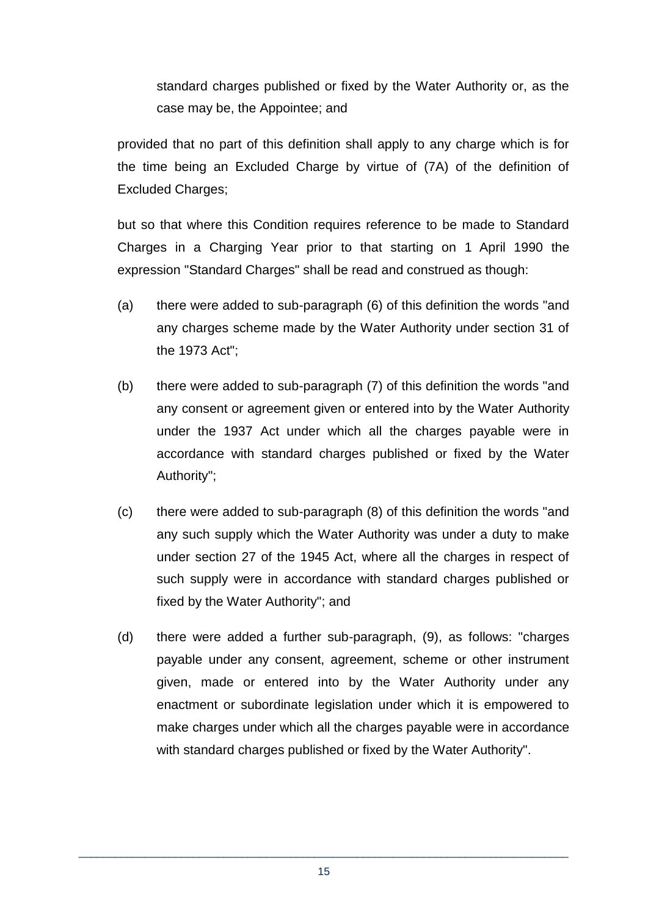standard charges published or fixed by the Water Authority or, as the case may be, the Appointee; and

provided that no part of this definition shall apply to any charge which is for the time being an Excluded Charge by virtue of (7A) of the definition of Excluded Charges:

but so that where this Condition requires reference to be made to Standard Charges in a Charging Year prior to that starting on 1 April 1990 the expression "Standard Charges" shall be read and construed as though:

- (a) there were added to sub-paragraph (6) of this definition the words "and any charges scheme made by the Water Authority under section 31 of the 1973 Act";
- (b) there were added to sub-paragraph (7) of this definition the words "and any consent or agreement given or entered into by the Water Authority under the 1937 Act under which all the charges payable were in accordance with standard charges published or fixed by the Water Authority";
- (c) there were added to sub-paragraph (8) of this definition the words "and any such supply which the Water Authority was under a duty to make under section 27 of the 1945 Act, where all the charges in respect of such supply were in accordance with standard charges published or fixed by the Water Authority"; and
- (d) there were added a further sub-paragraph, (9), as follows: "charges payable under any consent, agreement, scheme or other instrument given, made or entered into by the Water Authority under any enactment or subordinate legislation under which it is empowered to make charges under which all the charges payable were in accordance with standard charges published or fixed by the Water Authority".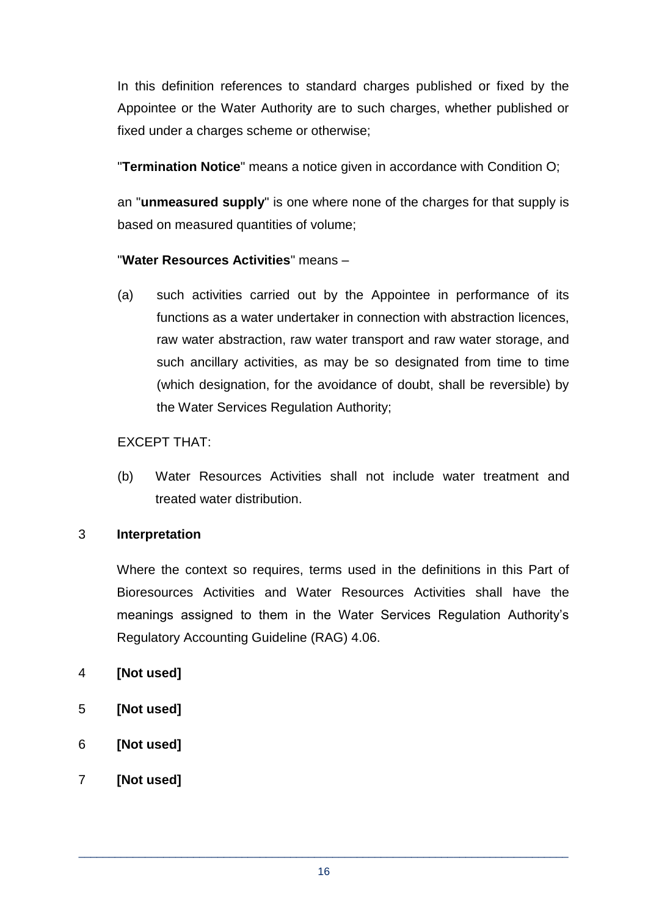In this definition references to standard charges published or fixed by the Appointee or the Water Authority are to such charges, whether published or fixed under a charges scheme or otherwise;

"**Termination Notice**" means a notice given in accordance with Condition O;

an "**unmeasured supply**" is one where none of the charges for that supply is based on measured quantities of volume;

## "**Water Resources Activities**" means –

(a) such activities carried out by the Appointee in performance of its functions as a water undertaker in connection with abstraction licences, raw water abstraction, raw water transport and raw water storage, and such ancillary activities, as may be so designated from time to time (which designation, for the avoidance of doubt, shall be reversible) by the Water Services Regulation Authority;

#### EXCEPT THAT:

(b) Water Resources Activities shall not include water treatment and treated water distribution.

#### 3 **Interpretation**

Where the context so requires, terms used in the definitions in this Part of Bioresources Activities and Water Resources Activities shall have the meanings assigned to them in the Water Services Regulation Authority's Regulatory Accounting Guideline (RAG) 4.06.

- 4 **[Not used]**
- 5 **[Not used]**
- 6 **[Not used]**
- 7 **[Not used]**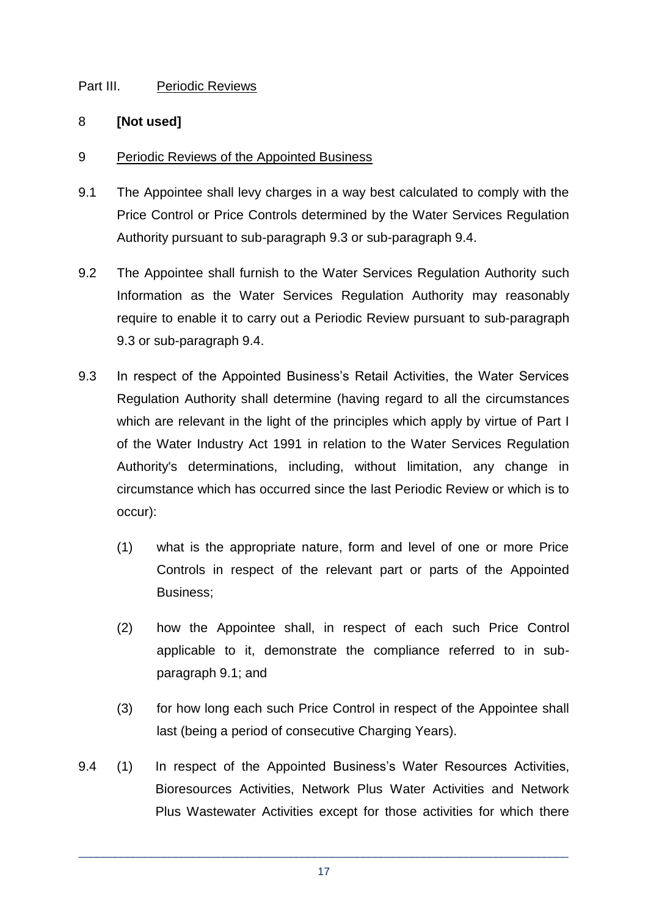## Part III. Periodic Reviews

#### 8 **[Not used]**

## 9 Periodic Reviews of the Appointed Business

- 9.1 The Appointee shall levy charges in a way best calculated to comply with the Price Control or Price Controls determined by the Water Services Regulation Authority pursuant to sub-paragraph 9.3 or sub-paragraph 9.4.
- 9.2 The Appointee shall furnish to the Water Services Regulation Authority such Information as the Water Services Regulation Authority may reasonably require to enable it to carry out a Periodic Review pursuant to sub-paragraph 9.3 or sub-paragraph 9.4.
- 9.3 In respect of the Appointed Business's Retail Activities, the Water Services Regulation Authority shall determine (having regard to all the circumstances which are relevant in the light of the principles which apply by virtue of Part I of the Water Industry Act 1991 in relation to the Water Services Regulation Authority's determinations, including, without limitation, any change in circumstance which has occurred since the last Periodic Review or which is to occur):
	- (1) what is the appropriate nature, form and level of one or more Price Controls in respect of the relevant part or parts of the Appointed Business;
	- (2) how the Appointee shall, in respect of each such Price Control applicable to it, demonstrate the compliance referred to in subparagraph 9.1; and
	- (3) for how long each such Price Control in respect of the Appointee shall last (being a period of consecutive Charging Years).
- 9.4 (1) In respect of the Appointed Business's Water Resources Activities, Bioresources Activities, Network Plus Water Activities and Network Plus Wastewater Activities except for those activities for which there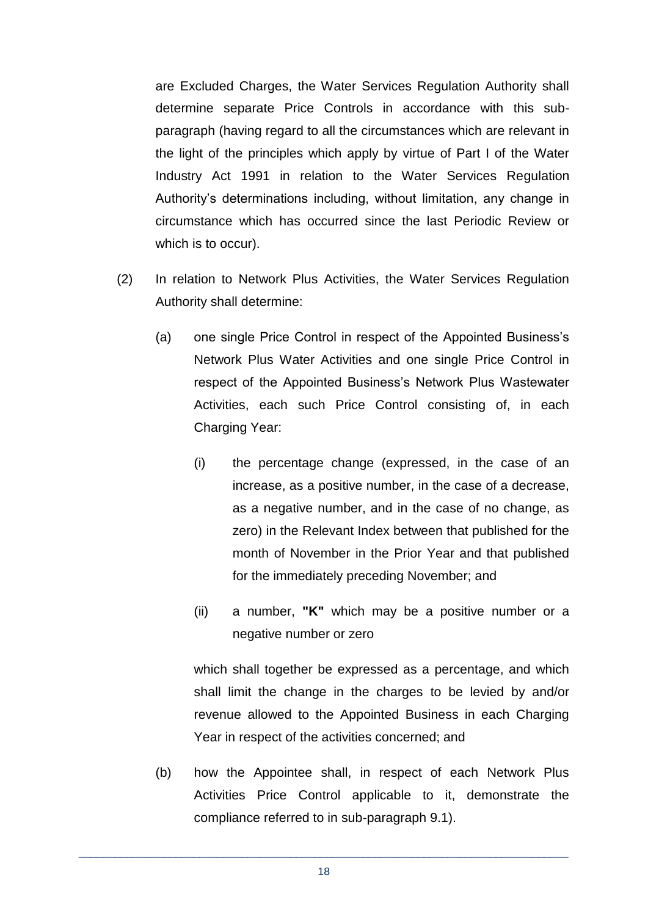are Excluded Charges, the Water Services Regulation Authority shall determine separate Price Controls in accordance with this subparagraph (having regard to all the circumstances which are relevant in the light of the principles which apply by virtue of Part I of the Water Industry Act 1991 in relation to the Water Services Regulation Authority's determinations including, without limitation, any change in circumstance which has occurred since the last Periodic Review or which is to occur).

- (2) In relation to Network Plus Activities, the Water Services Regulation Authority shall determine:
	- (a) one single Price Control in respect of the Appointed Business's Network Plus Water Activities and one single Price Control in respect of the Appointed Business's Network Plus Wastewater Activities, each such Price Control consisting of, in each Charging Year:
		- (i) the percentage change (expressed, in the case of an increase, as a positive number, in the case of a decrease, as a negative number, and in the case of no change, as zero) in the Relevant Index between that published for the month of November in the Prior Year and that published for the immediately preceding November; and
		- (ii) a number, **"K"** which may be a positive number or a negative number or zero

which shall together be expressed as a percentage, and which shall limit the change in the charges to be levied by and/or revenue allowed to the Appointed Business in each Charging Year in respect of the activities concerned; and

(b) how the Appointee shall, in respect of each Network Plus Activities Price Control applicable to it, demonstrate the compliance referred to in sub-paragraph 9.1).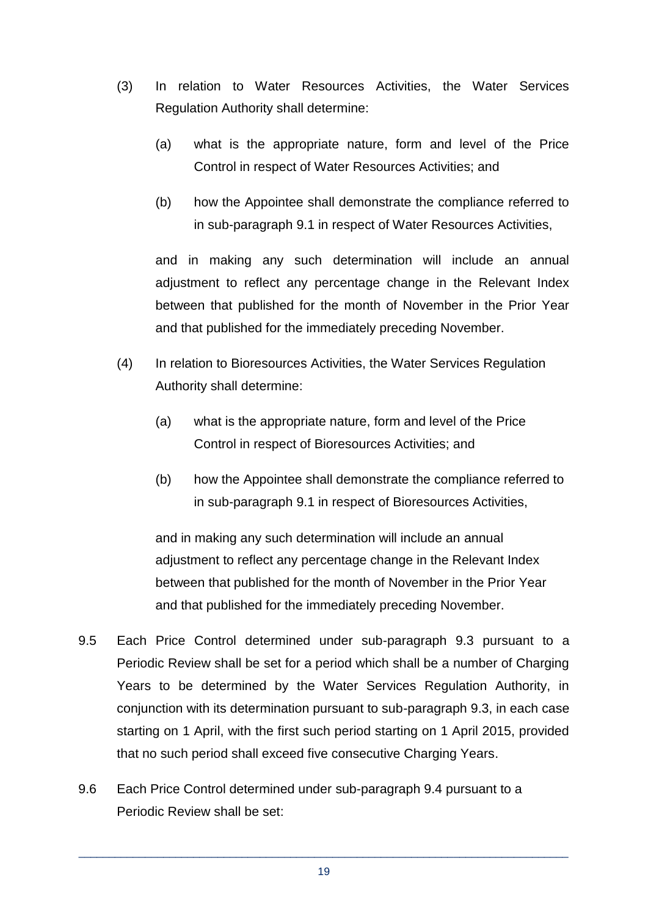- (3) In relation to Water Resources Activities, the Water Services Regulation Authority shall determine:
	- (a) what is the appropriate nature, form and level of the Price Control in respect of Water Resources Activities; and
	- (b) how the Appointee shall demonstrate the compliance referred to in sub-paragraph 9.1 in respect of Water Resources Activities,

and in making any such determination will include an annual adjustment to reflect any percentage change in the Relevant Index between that published for the month of November in the Prior Year and that published for the immediately preceding November.

- (4) In relation to Bioresources Activities, the Water Services Regulation Authority shall determine:
	- (a) what is the appropriate nature, form and level of the Price Control in respect of Bioresources Activities; and
	- (b) how the Appointee shall demonstrate the compliance referred to in sub-paragraph 9.1 in respect of Bioresources Activities,

and in making any such determination will include an annual adjustment to reflect any percentage change in the Relevant Index between that published for the month of November in the Prior Year and that published for the immediately preceding November.

- 9.5 Each Price Control determined under sub-paragraph 9.3 pursuant to a Periodic Review shall be set for a period which shall be a number of Charging Years to be determined by the Water Services Regulation Authority, in conjunction with its determination pursuant to sub-paragraph 9.3, in each case starting on 1 April, with the first such period starting on 1 April 2015, provided that no such period shall exceed five consecutive Charging Years.
- 9.6 Each Price Control determined under sub-paragraph 9.4 pursuant to a Periodic Review shall be set: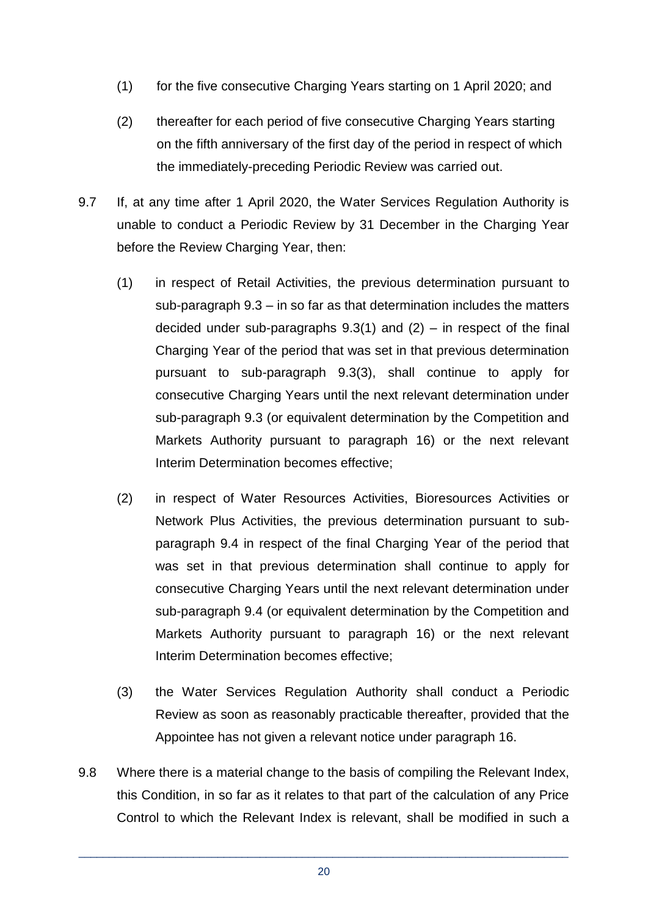- (1) for the five consecutive Charging Years starting on 1 April 2020; and
- (2) thereafter for each period of five consecutive Charging Years starting on the fifth anniversary of the first day of the period in respect of which the immediately-preceding Periodic Review was carried out.
- 9.7 If, at any time after 1 April 2020, the Water Services Regulation Authority is unable to conduct a Periodic Review by 31 December in the Charging Year before the Review Charging Year, then:
	- (1) in respect of Retail Activities, the previous determination pursuant to sub-paragraph 9.3 – in so far as that determination includes the matters decided under sub-paragraphs  $9.3(1)$  and  $(2)$  – in respect of the final Charging Year of the period that was set in that previous determination pursuant to sub-paragraph 9.3(3), shall continue to apply for consecutive Charging Years until the next relevant determination under sub-paragraph 9.3 (or equivalent determination by the Competition and Markets Authority pursuant to paragraph 16) or the next relevant Interim Determination becomes effective;
	- (2) in respect of Water Resources Activities, Bioresources Activities or Network Plus Activities, the previous determination pursuant to subparagraph 9.4 in respect of the final Charging Year of the period that was set in that previous determination shall continue to apply for consecutive Charging Years until the next relevant determination under sub-paragraph 9.4 (or equivalent determination by the Competition and Markets Authority pursuant to paragraph 16) or the next relevant Interim Determination becomes effective;
	- (3) the Water Services Regulation Authority shall conduct a Periodic Review as soon as reasonably practicable thereafter, provided that the Appointee has not given a relevant notice under paragraph 16.
- 9.8 Where there is a material change to the basis of compiling the Relevant Index, this Condition, in so far as it relates to that part of the calculation of any Price Control to which the Relevant Index is relevant, shall be modified in such a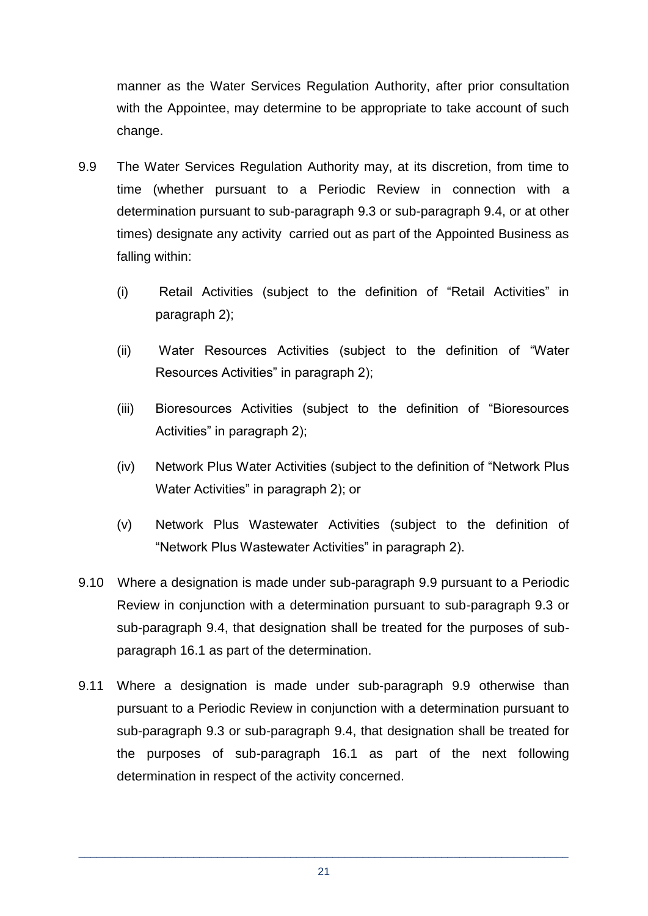manner as the Water Services Regulation Authority, after prior consultation with the Appointee, may determine to be appropriate to take account of such change.

- 9.9 The Water Services Regulation Authority may, at its discretion, from time to time (whether pursuant to a Periodic Review in connection with a determination pursuant to sub-paragraph 9.3 or sub-paragraph 9.4, or at other times) designate any activity carried out as part of the Appointed Business as falling within:
	- (i) Retail Activities (subject to the definition of "Retail Activities" in paragraph 2);
	- (ii) Water Resources Activities (subject to the definition of "Water Resources Activities" in paragraph 2);
	- (iii) Bioresources Activities (subject to the definition of "Bioresources Activities" in paragraph 2);
	- (iv) Network Plus Water Activities (subject to the definition of "Network Plus Water Activities" in paragraph 2); or
	- (v) Network Plus Wastewater Activities (subject to the definition of "Network Plus Wastewater Activities" in paragraph 2).
- 9.10 Where a designation is made under sub-paragraph 9.9 pursuant to a Periodic Review in conjunction with a determination pursuant to sub-paragraph 9.3 or sub-paragraph 9.4, that designation shall be treated for the purposes of subparagraph 16.1 as part of the determination.
- 9.11 Where a designation is made under sub-paragraph 9.9 otherwise than pursuant to a Periodic Review in conjunction with a determination pursuant to sub-paragraph 9.3 or sub-paragraph 9.4, that designation shall be treated for the purposes of sub-paragraph 16.1 as part of the next following determination in respect of the activity concerned.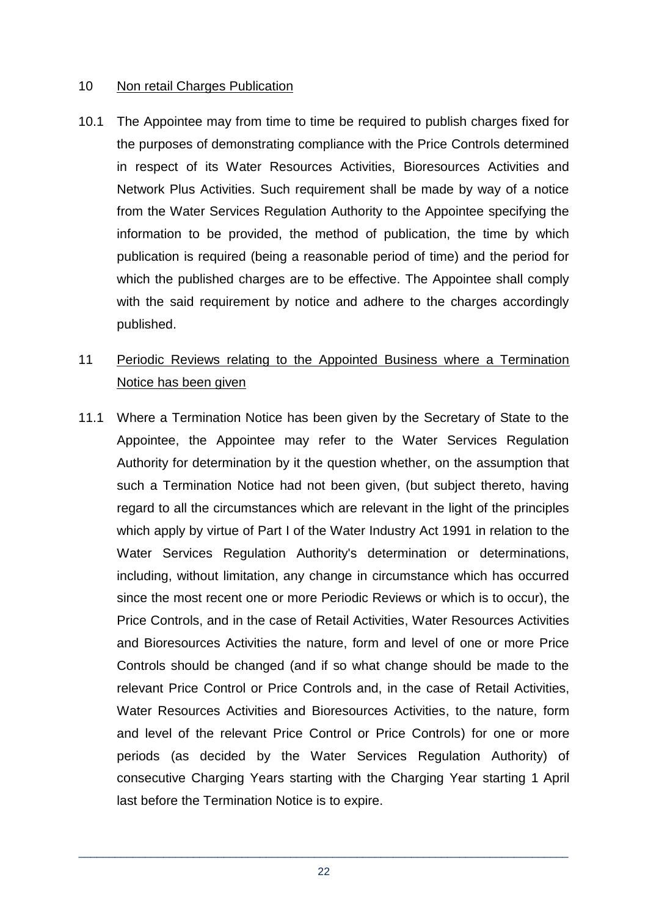#### 10 Non retail Charges Publication

- 10.1 The Appointee may from time to time be required to publish charges fixed for the purposes of demonstrating compliance with the Price Controls determined in respect of its Water Resources Activities, Bioresources Activities and Network Plus Activities. Such requirement shall be made by way of a notice from the Water Services Regulation Authority to the Appointee specifying the information to be provided, the method of publication, the time by which publication is required (being a reasonable period of time) and the period for which the published charges are to be effective. The Appointee shall comply with the said requirement by notice and adhere to the charges accordingly published.
- 11 Periodic Reviews relating to the Appointed Business where a Termination Notice has been given
- 11.1 Where a Termination Notice has been given by the Secretary of State to the Appointee, the Appointee may refer to the Water Services Regulation Authority for determination by it the question whether, on the assumption that such a Termination Notice had not been given, (but subject thereto, having regard to all the circumstances which are relevant in the light of the principles which apply by virtue of Part I of the Water Industry Act 1991 in relation to the Water Services Regulation Authority's determination or determinations, including, without limitation, any change in circumstance which has occurred since the most recent one or more Periodic Reviews or which is to occur), the Price Controls, and in the case of Retail Activities, Water Resources Activities and Bioresources Activities the nature, form and level of one or more Price Controls should be changed (and if so what change should be made to the relevant Price Control or Price Controls and, in the case of Retail Activities, Water Resources Activities and Bioresources Activities, to the nature, form and level of the relevant Price Control or Price Controls) for one or more periods (as decided by the Water Services Regulation Authority) of consecutive Charging Years starting with the Charging Year starting 1 April last before the Termination Notice is to expire.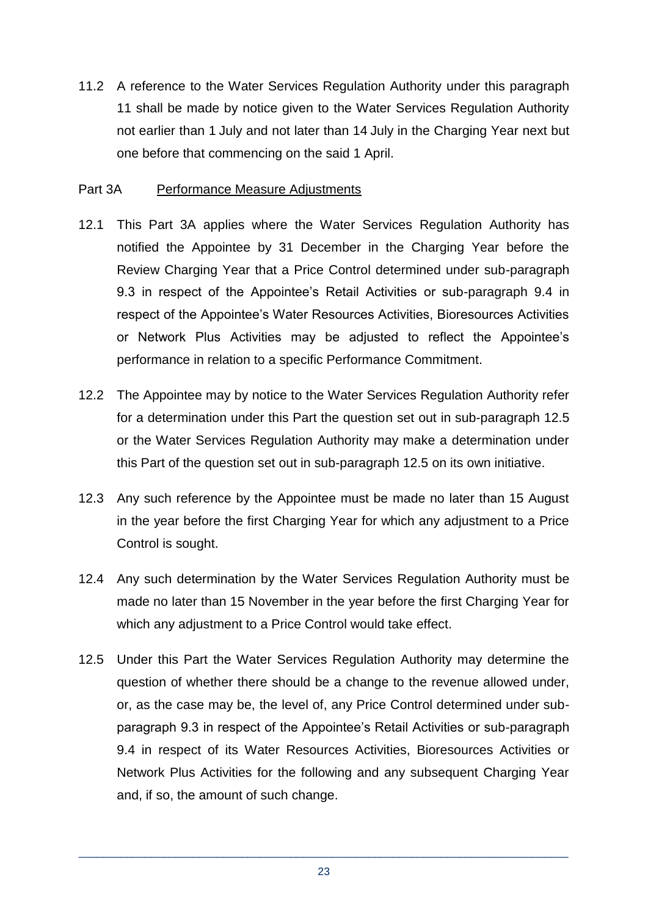11.2 A reference to the Water Services Regulation Authority under this paragraph 11 shall be made by notice given to the Water Services Regulation Authority not earlier than 1 July and not later than 14 July in the Charging Year next but one before that commencing on the said 1 April.

#### Part 3A Performance Measure Adjustments

- 12.1 This Part 3A applies where the Water Services Regulation Authority has notified the Appointee by 31 December in the Charging Year before the Review Charging Year that a Price Control determined under sub-paragraph 9.3 in respect of the Appointee's Retail Activities or sub-paragraph 9.4 in respect of the Appointee's Water Resources Activities, Bioresources Activities or Network Plus Activities may be adjusted to reflect the Appointee's performance in relation to a specific Performance Commitment.
- 12.2 The Appointee may by notice to the Water Services Regulation Authority refer for a determination under this Part the question set out in sub-paragraph 12.5 or the Water Services Regulation Authority may make a determination under this Part of the question set out in sub-paragraph 12.5 on its own initiative.
- 12.3 Any such reference by the Appointee must be made no later than 15 August in the year before the first Charging Year for which any adjustment to a Price Control is sought.
- 12.4 Any such determination by the Water Services Regulation Authority must be made no later than 15 November in the year before the first Charging Year for which any adjustment to a Price Control would take effect.
- 12.5 Under this Part the Water Services Regulation Authority may determine the question of whether there should be a change to the revenue allowed under, or, as the case may be, the level of, any Price Control determined under subparagraph 9.3 in respect of the Appointee's Retail Activities or sub-paragraph 9.4 in respect of its Water Resources Activities, Bioresources Activities or Network Plus Activities for the following and any subsequent Charging Year and, if so, the amount of such change.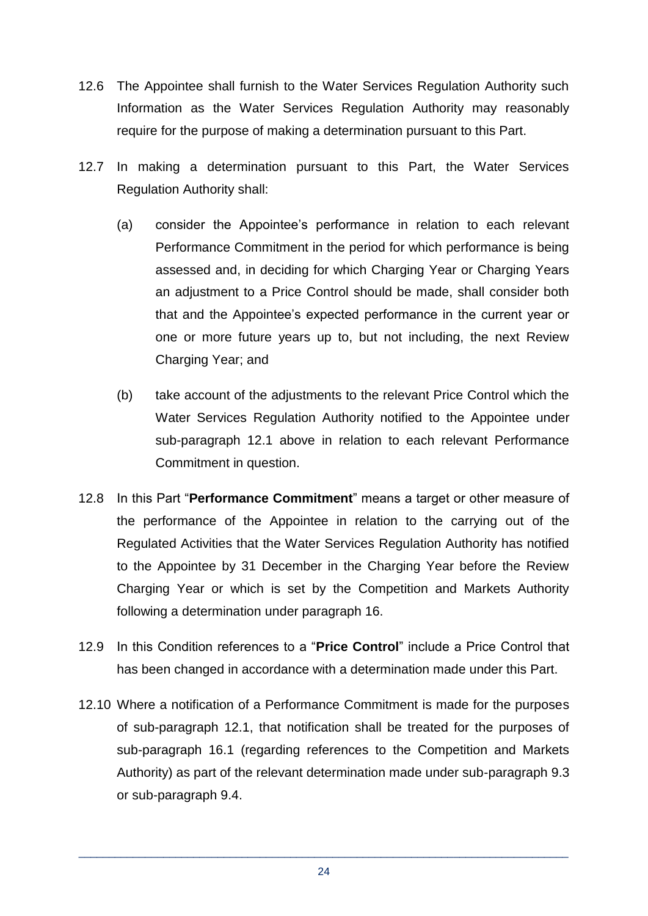- 12.6 The Appointee shall furnish to the Water Services Regulation Authority such Information as the Water Services Regulation Authority may reasonably require for the purpose of making a determination pursuant to this Part.
- 12.7 In making a determination pursuant to this Part, the Water Services Regulation Authority shall:
	- (a) consider the Appointee's performance in relation to each relevant Performance Commitment in the period for which performance is being assessed and, in deciding for which Charging Year or Charging Years an adjustment to a Price Control should be made, shall consider both that and the Appointee's expected performance in the current year or one or more future years up to, but not including, the next Review Charging Year; and
	- (b) take account of the adjustments to the relevant Price Control which the Water Services Regulation Authority notified to the Appointee under sub-paragraph 12.1 above in relation to each relevant Performance Commitment in question.
- 12.8 In this Part "**Performance Commitment**" means a target or other measure of the performance of the Appointee in relation to the carrying out of the Regulated Activities that the Water Services Regulation Authority has notified to the Appointee by 31 December in the Charging Year before the Review Charging Year or which is set by the Competition and Markets Authority following a determination under paragraph 16.
- 12.9 In this Condition references to a "**Price Control**" include a Price Control that has been changed in accordance with a determination made under this Part.
- 12.10 Where a notification of a Performance Commitment is made for the purposes of sub-paragraph 12.1, that notification shall be treated for the purposes of sub-paragraph 16.1 (regarding references to the Competition and Markets Authority) as part of the relevant determination made under sub-paragraph 9.3 or sub-paragraph 9.4.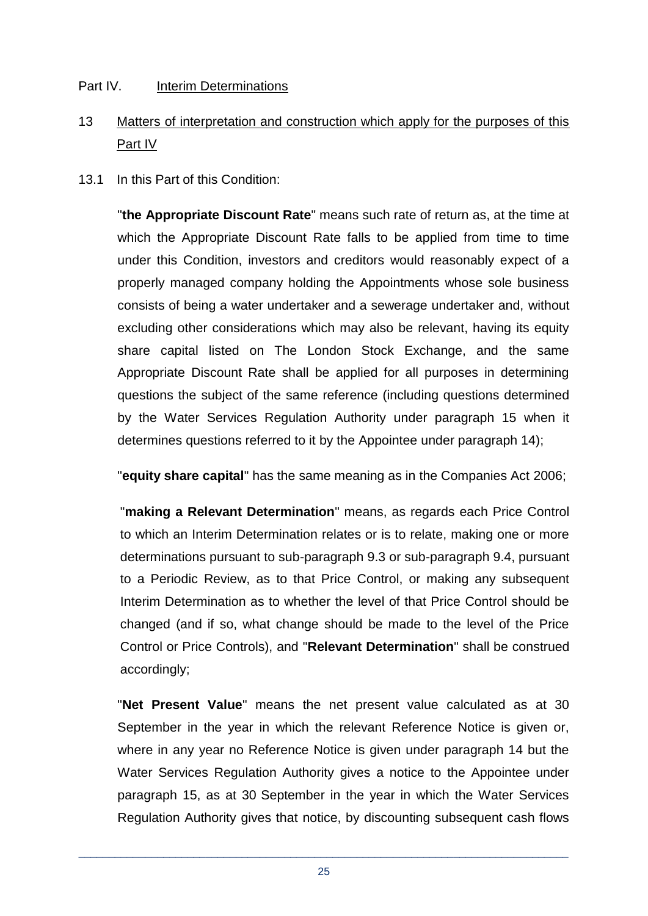#### Part IV. Interim Determinations

# 13 Matters of interpretation and construction which apply for the purposes of this Part IV

13.1 In this Part of this Condition:

"**the Appropriate Discount Rate**" means such rate of return as, at the time at which the Appropriate Discount Rate falls to be applied from time to time under this Condition, investors and creditors would reasonably expect of a properly managed company holding the Appointments whose sole business consists of being a water undertaker and a sewerage undertaker and, without excluding other considerations which may also be relevant, having its equity share capital listed on The London Stock Exchange, and the same Appropriate Discount Rate shall be applied for all purposes in determining questions the subject of the same reference (including questions determined by the Water Services Regulation Authority under paragraph 15 when it determines questions referred to it by the Appointee under paragraph 14);

"**equity share capital**" has the same meaning as in the Companies Act 2006;

"**making a Relevant Determination**" means, as regards each Price Control to which an Interim Determination relates or is to relate, making one or more determinations pursuant to sub-paragraph 9.3 or sub-paragraph 9.4, pursuant to a Periodic Review, as to that Price Control, or making any subsequent Interim Determination as to whether the level of that Price Control should be changed (and if so, what change should be made to the level of the Price Control or Price Controls), and "**Relevant Determination**" shall be construed accordingly;

"**Net Present Value**" means the net present value calculated as at 30 September in the year in which the relevant Reference Notice is given or, where in any year no Reference Notice is given under paragraph 14 but the Water Services Regulation Authority gives a notice to the Appointee under paragraph 15, as at 30 September in the year in which the Water Services Regulation Authority gives that notice, by discounting subsequent cash flows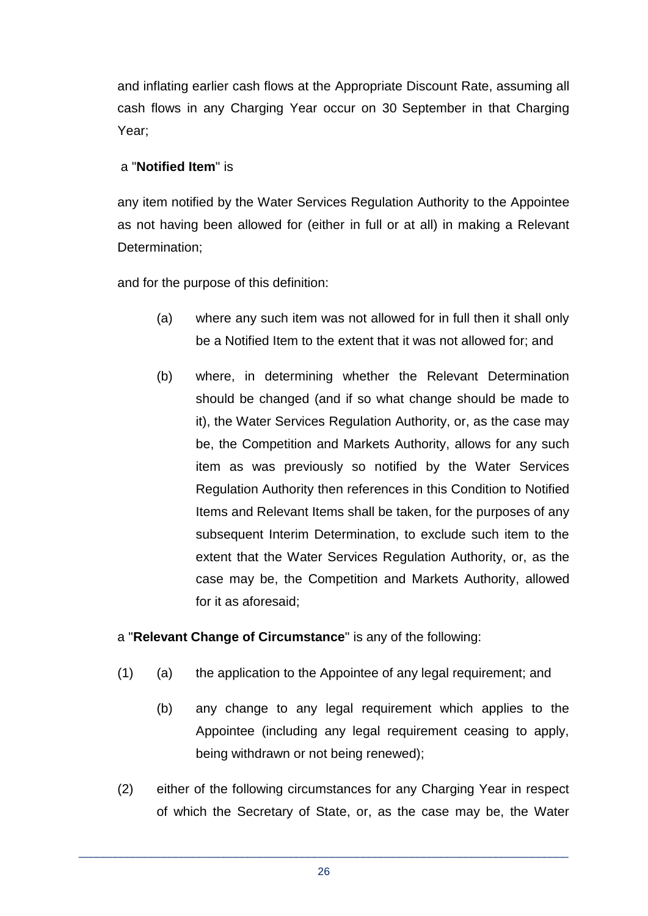and inflating earlier cash flows at the Appropriate Discount Rate, assuming all cash flows in any Charging Year occur on 30 September in that Charging Year;

## a "**Notified Item**" is

any item notified by the Water Services Regulation Authority to the Appointee as not having been allowed for (either in full or at all) in making a Relevant Determination;

and for the purpose of this definition:

- (a) where any such item was not allowed for in full then it shall only be a Notified Item to the extent that it was not allowed for; and
- (b) where, in determining whether the Relevant Determination should be changed (and if so what change should be made to it), the Water Services Regulation Authority, or, as the case may be, the Competition and Markets Authority, allows for any such item as was previously so notified by the Water Services Regulation Authority then references in this Condition to Notified Items and Relevant Items shall be taken, for the purposes of any subsequent Interim Determination, to exclude such item to the extent that the Water Services Regulation Authority, or, as the case may be, the Competition and Markets Authority, allowed for it as aforesaid;

a "**Relevant Change of Circumstance**" is any of the following:

- (1) (a) the application to the Appointee of any legal requirement; and
	- (b) any change to any legal requirement which applies to the Appointee (including any legal requirement ceasing to apply, being withdrawn or not being renewed);
- (2) either of the following circumstances for any Charging Year in respect of which the Secretary of State, or, as the case may be, the Water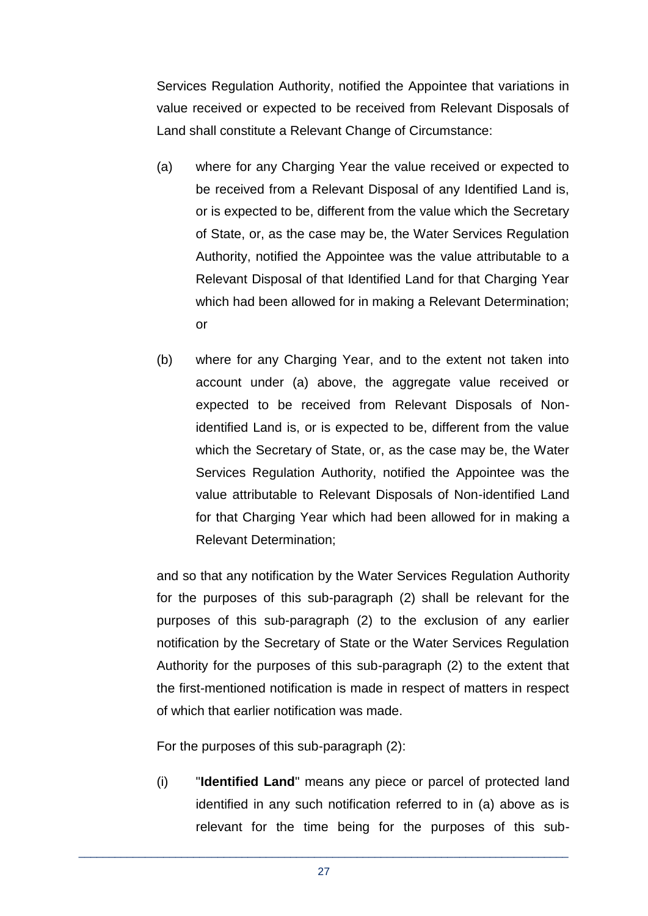Services Regulation Authority, notified the Appointee that variations in value received or expected to be received from Relevant Disposals of Land shall constitute a Relevant Change of Circumstance:

- (a) where for any Charging Year the value received or expected to be received from a Relevant Disposal of any Identified Land is, or is expected to be, different from the value which the Secretary of State, or, as the case may be, the Water Services Regulation Authority, notified the Appointee was the value attributable to a Relevant Disposal of that Identified Land for that Charging Year which had been allowed for in making a Relevant Determination; or
- (b) where for any Charging Year, and to the extent not taken into account under (a) above, the aggregate value received or expected to be received from Relevant Disposals of Nonidentified Land is, or is expected to be, different from the value which the Secretary of State, or, as the case may be, the Water Services Regulation Authority, notified the Appointee was the value attributable to Relevant Disposals of Non-identified Land for that Charging Year which had been allowed for in making a Relevant Determination;

and so that any notification by the Water Services Regulation Authority for the purposes of this sub-paragraph (2) shall be relevant for the purposes of this sub-paragraph (2) to the exclusion of any earlier notification by the Secretary of State or the Water Services Regulation Authority for the purposes of this sub-paragraph (2) to the extent that the first-mentioned notification is made in respect of matters in respect of which that earlier notification was made.

For the purposes of this sub-paragraph (2):

(i) "**Identified Land**" means any piece or parcel of protected land identified in any such notification referred to in (a) above as is relevant for the time being for the purposes of this sub-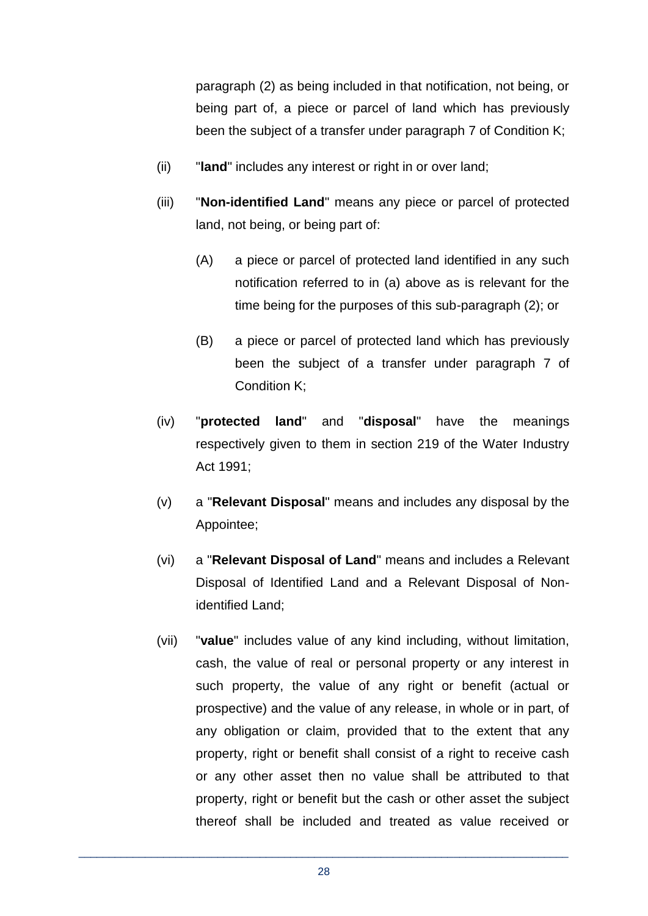paragraph (2) as being included in that notification, not being, or being part of, a piece or parcel of land which has previously been the subject of a transfer under paragraph 7 of Condition K;

- (ii) "**land**" includes any interest or right in or over land;
- (iii) "**Non-identified Land**" means any piece or parcel of protected land, not being, or being part of:
	- (A) a piece or parcel of protected land identified in any such notification referred to in (a) above as is relevant for the time being for the purposes of this sub-paragraph (2); or
	- (B) a piece or parcel of protected land which has previously been the subject of a transfer under paragraph 7 of Condition K;
- (iv) "**protected land**" and "**disposal**" have the meanings respectively given to them in section 219 of the Water Industry Act 1991;
- (v) a "**Relevant Disposal**" means and includes any disposal by the Appointee;
- (vi) a "**Relevant Disposal of Land**" means and includes a Relevant Disposal of Identified Land and a Relevant Disposal of Nonidentified Land;
- (vii) "**value**" includes value of any kind including, without limitation, cash, the value of real or personal property or any interest in such property, the value of any right or benefit (actual or prospective) and the value of any release, in whole or in part, of any obligation or claim, provided that to the extent that any property, right or benefit shall consist of a right to receive cash or any other asset then no value shall be attributed to that property, right or benefit but the cash or other asset the subject thereof shall be included and treated as value received or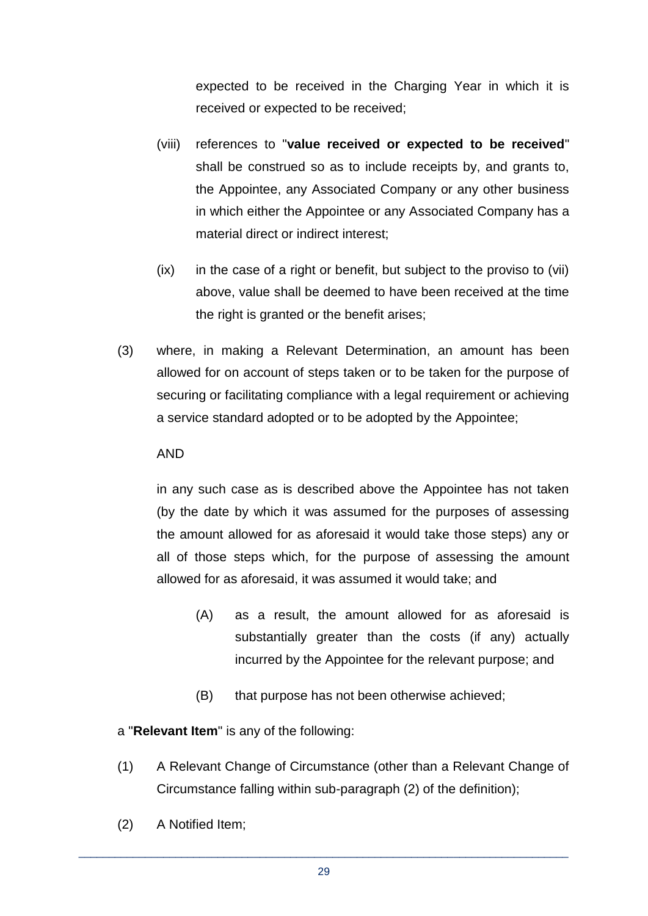expected to be received in the Charging Year in which it is received or expected to be received;

- (viii) references to "**value received or expected to be received**" shall be construed so as to include receipts by, and grants to, the Appointee, any Associated Company or any other business in which either the Appointee or any Associated Company has a material direct or indirect interest;
- (ix) in the case of a right or benefit, but subject to the proviso to (vii) above, value shall be deemed to have been received at the time the right is granted or the benefit arises;
- (3) where, in making a Relevant Determination, an amount has been allowed for on account of steps taken or to be taken for the purpose of securing or facilitating compliance with a legal requirement or achieving a service standard adopted or to be adopted by the Appointee;

#### AND

in any such case as is described above the Appointee has not taken (by the date by which it was assumed for the purposes of assessing the amount allowed for as aforesaid it would take those steps) any or all of those steps which, for the purpose of assessing the amount allowed for as aforesaid, it was assumed it would take; and

- (A) as a result, the amount allowed for as aforesaid is substantially greater than the costs (if any) actually incurred by the Appointee for the relevant purpose; and
- (B) that purpose has not been otherwise achieved;

#### a "**Relevant Item**" is any of the following:

- (1) A Relevant Change of Circumstance (other than a Relevant Change of Circumstance falling within sub-paragraph (2) of the definition);
- (2) A Notified Item;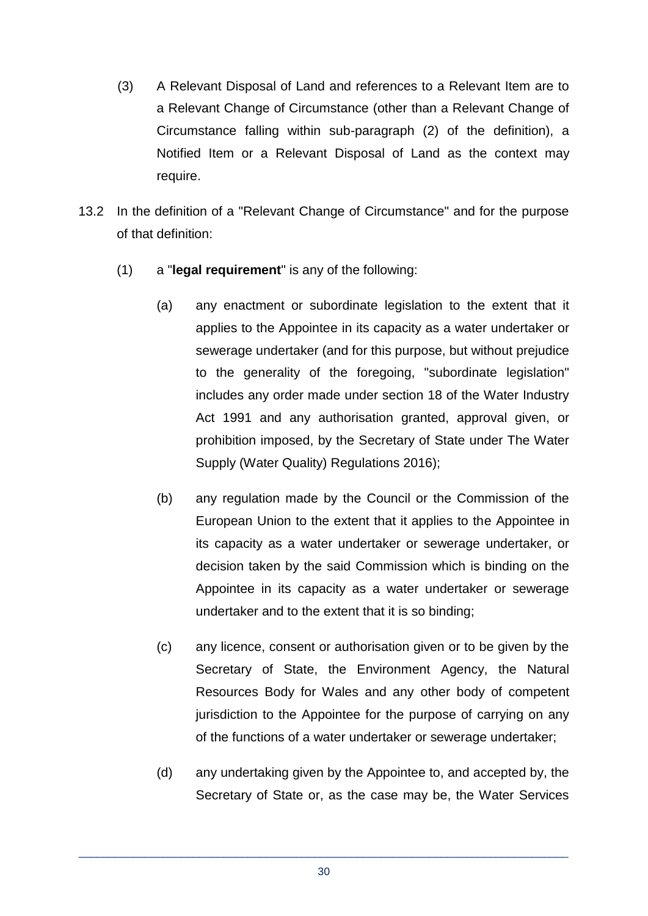- (3) A Relevant Disposal of Land and references to a Relevant Item are to a Relevant Change of Circumstance (other than a Relevant Change of Circumstance falling within sub-paragraph (2) of the definition), a Notified Item or a Relevant Disposal of Land as the context may require.
- 13.2 In the definition of a "Relevant Change of Circumstance" and for the purpose of that definition:
	- (1) a "**legal requirement**" is any of the following:
		- (a) any enactment or subordinate legislation to the extent that it applies to the Appointee in its capacity as a water undertaker or sewerage undertaker (and for this purpose, but without prejudice to the generality of the foregoing, "subordinate legislation" includes any order made under section 18 of the Water Industry Act 1991 and any authorisation granted, approval given, or prohibition imposed, by the Secretary of State under The Water Supply (Water Quality) Regulations 2016);
		- (b) any regulation made by the Council or the Commission of the European Union to the extent that it applies to the Appointee in its capacity as a water undertaker or sewerage undertaker, or decision taken by the said Commission which is binding on the Appointee in its capacity as a water undertaker or sewerage undertaker and to the extent that it is so binding;
		- (c) any licence, consent or authorisation given or to be given by the Secretary of State, the Environment Agency, the Natural Resources Body for Wales and any other body of competent jurisdiction to the Appointee for the purpose of carrying on any of the functions of a water undertaker or sewerage undertaker;
		- (d) any undertaking given by the Appointee to, and accepted by, the Secretary of State or, as the case may be, the Water Services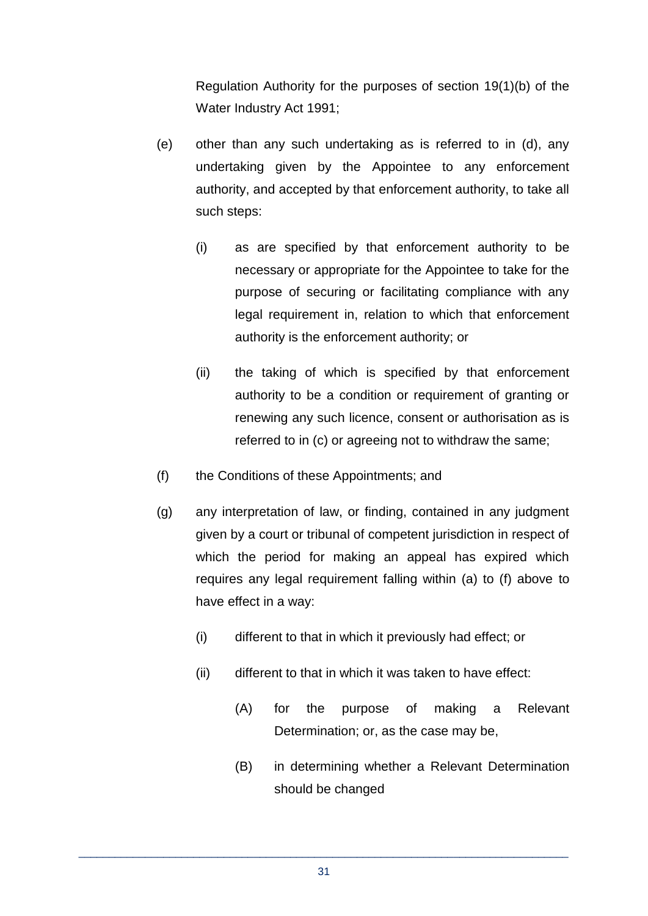Regulation Authority for the purposes of section 19(1)(b) of the Water Industry Act 1991;

- (e) other than any such undertaking as is referred to in (d), any undertaking given by the Appointee to any enforcement authority, and accepted by that enforcement authority, to take all such steps:
	- (i) as are specified by that enforcement authority to be necessary or appropriate for the Appointee to take for the purpose of securing or facilitating compliance with any legal requirement in, relation to which that enforcement authority is the enforcement authority; or
	- (ii) the taking of which is specified by that enforcement authority to be a condition or requirement of granting or renewing any such licence, consent or authorisation as is referred to in (c) or agreeing not to withdraw the same;
- (f) the Conditions of these Appointments; and
- (g) any interpretation of law, or finding, contained in any judgment given by a court or tribunal of competent jurisdiction in respect of which the period for making an appeal has expired which requires any legal requirement falling within (a) to (f) above to have effect in a way:
	- (i) different to that in which it previously had effect; or
	- (ii) different to that in which it was taken to have effect:
		- (A) for the purpose of making a Relevant Determination; or, as the case may be,
		- (B) in determining whether a Relevant Determination should be changed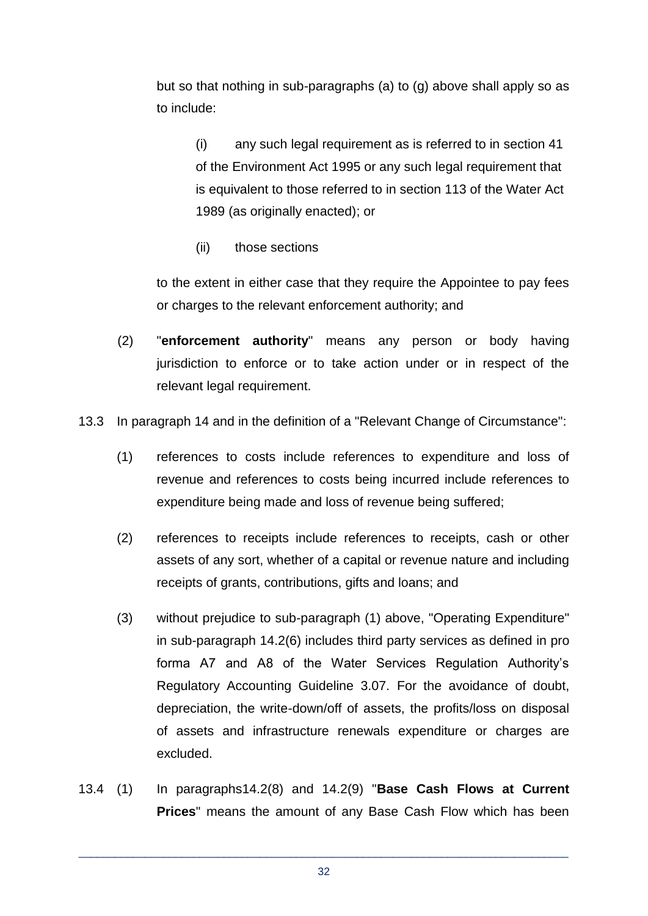but so that nothing in sub-paragraphs (a) to (g) above shall apply so as to include:

(i) any such legal requirement as is referred to in section 41 of the Environment Act 1995 or any such legal requirement that is equivalent to those referred to in section 113 of the Water Act 1989 (as originally enacted); or

(ii) those sections

to the extent in either case that they require the Appointee to pay fees or charges to the relevant enforcement authority; and

- (2) "**enforcement authority**" means any person or body having jurisdiction to enforce or to take action under or in respect of the relevant legal requirement.
- 13.3 In paragraph 14 and in the definition of a "Relevant Change of Circumstance":
	- (1) references to costs include references to expenditure and loss of revenue and references to costs being incurred include references to expenditure being made and loss of revenue being suffered;
	- (2) references to receipts include references to receipts, cash or other assets of any sort, whether of a capital or revenue nature and including receipts of grants, contributions, gifts and loans; and
	- (3) without prejudice to sub-paragraph (1) above, "Operating Expenditure" in sub-paragraph 14.2(6) includes third party services as defined in pro forma A7 and A8 of the Water Services Regulation Authority's Regulatory Accounting Guideline 3.07. For the avoidance of doubt, depreciation, the write-down/off of assets, the profits/loss on disposal of assets and infrastructure renewals expenditure or charges are excluded.
- 13.4 (1) In paragraphs14.2(8) and 14.2(9) "**Base Cash Flows at Current Prices**" means the amount of any Base Cash Flow which has been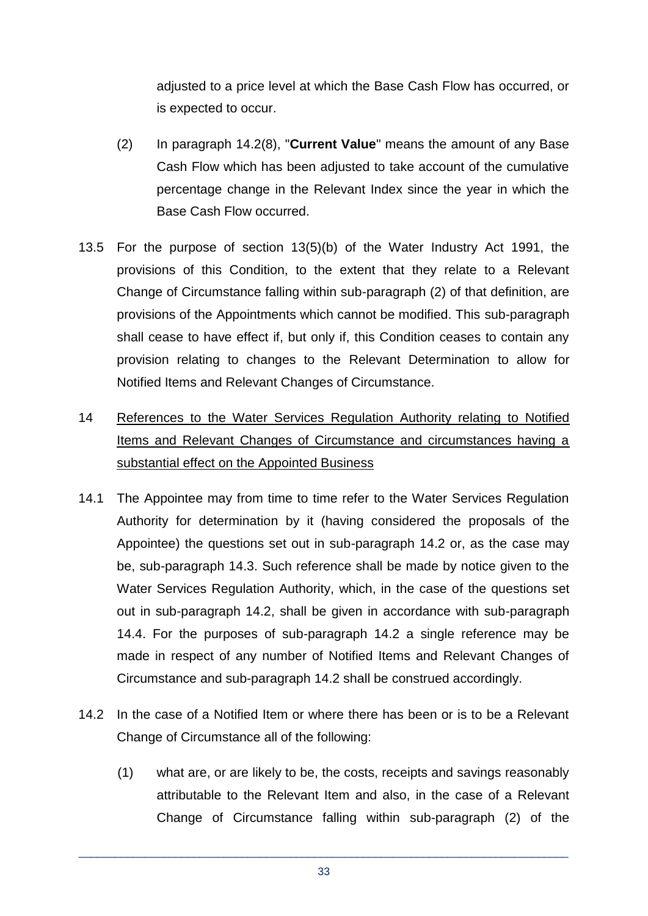adjusted to a price level at which the Base Cash Flow has occurred, or is expected to occur.

- (2) In paragraph 14.2(8), "**Current Value**" means the amount of any Base Cash Flow which has been adjusted to take account of the cumulative percentage change in the Relevant Index since the year in which the Base Cash Flow occurred.
- 13.5 For the purpose of section 13(5)(b) of the Water Industry Act 1991, the provisions of this Condition, to the extent that they relate to a Relevant Change of Circumstance falling within sub-paragraph (2) of that definition, are provisions of the Appointments which cannot be modified. This sub-paragraph shall cease to have effect if, but only if, this Condition ceases to contain any provision relating to changes to the Relevant Determination to allow for Notified Items and Relevant Changes of Circumstance.
- 14 References to the Water Services Regulation Authority relating to Notified Items and Relevant Changes of Circumstance and circumstances having a substantial effect on the Appointed Business
- 14.1 The Appointee may from time to time refer to the Water Services Regulation Authority for determination by it (having considered the proposals of the Appointee) the questions set out in sub-paragraph 14.2 or, as the case may be, sub-paragraph 14.3. Such reference shall be made by notice given to the Water Services Regulation Authority, which, in the case of the questions set out in sub-paragraph 14.2, shall be given in accordance with sub-paragraph 14.4. For the purposes of sub-paragraph 14.2 a single reference may be made in respect of any number of Notified Items and Relevant Changes of Circumstance and sub-paragraph 14.2 shall be construed accordingly.
- 14.2 In the case of a Notified Item or where there has been or is to be a Relevant Change of Circumstance all of the following:
	- (1) what are, or are likely to be, the costs, receipts and savings reasonably attributable to the Relevant Item and also, in the case of a Relevant Change of Circumstance falling within sub-paragraph (2) of the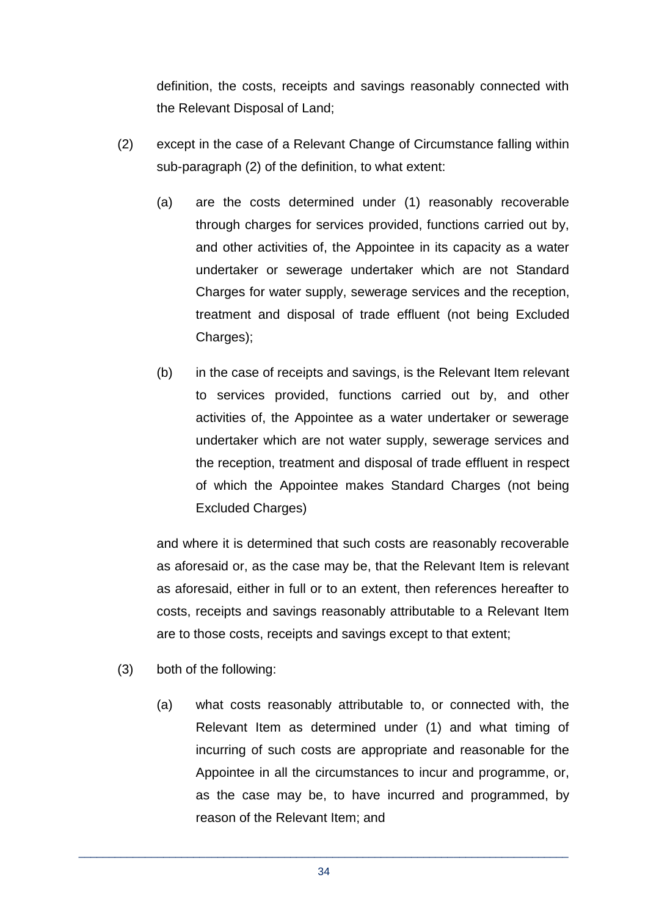definition, the costs, receipts and savings reasonably connected with the Relevant Disposal of Land;

- (2) except in the case of a Relevant Change of Circumstance falling within sub-paragraph (2) of the definition, to what extent:
	- (a) are the costs determined under (1) reasonably recoverable through charges for services provided, functions carried out by, and other activities of, the Appointee in its capacity as a water undertaker or sewerage undertaker which are not Standard Charges for water supply, sewerage services and the reception, treatment and disposal of trade effluent (not being Excluded Charges);
	- (b) in the case of receipts and savings, is the Relevant Item relevant to services provided, functions carried out by, and other activities of, the Appointee as a water undertaker or sewerage undertaker which are not water supply, sewerage services and the reception, treatment and disposal of trade effluent in respect of which the Appointee makes Standard Charges (not being Excluded Charges)

and where it is determined that such costs are reasonably recoverable as aforesaid or, as the case may be, that the Relevant Item is relevant as aforesaid, either in full or to an extent, then references hereafter to costs, receipts and savings reasonably attributable to a Relevant Item are to those costs, receipts and savings except to that extent;

- (3) both of the following:
	- (a) what costs reasonably attributable to, or connected with, the Relevant Item as determined under (1) and what timing of incurring of such costs are appropriate and reasonable for the Appointee in all the circumstances to incur and programme, or, as the case may be, to have incurred and programmed, by reason of the Relevant Item; and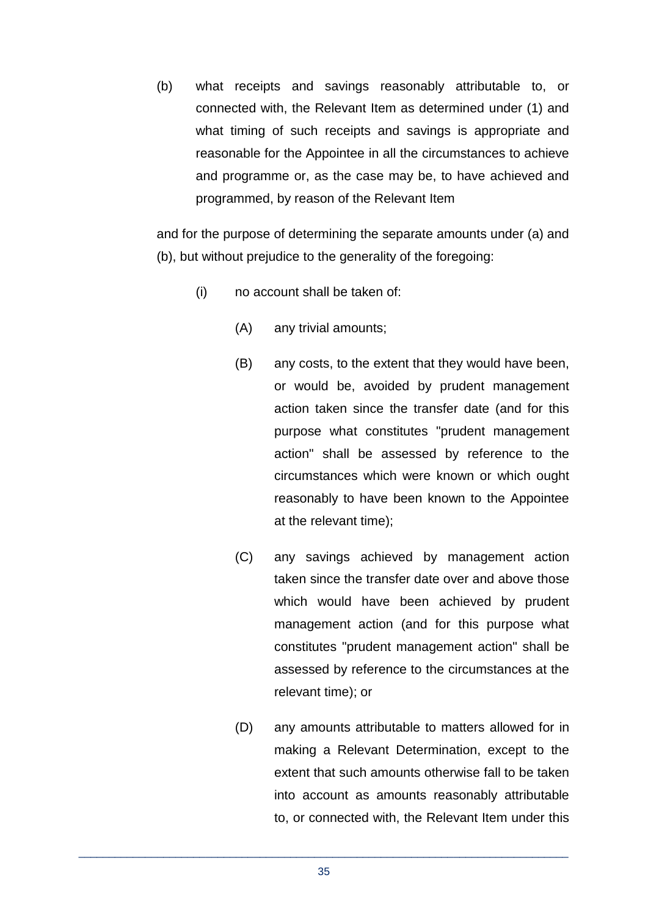(b) what receipts and savings reasonably attributable to, or connected with, the Relevant Item as determined under (1) and what timing of such receipts and savings is appropriate and reasonable for the Appointee in all the circumstances to achieve and programme or, as the case may be, to have achieved and programmed, by reason of the Relevant Item

and for the purpose of determining the separate amounts under (a) and (b), but without prejudice to the generality of the foregoing:

- (i) no account shall be taken of:
	- (A) any trivial amounts;
	- (B) any costs, to the extent that they would have been, or would be, avoided by prudent management action taken since the transfer date (and for this purpose what constitutes "prudent management action" shall be assessed by reference to the circumstances which were known or which ought reasonably to have been known to the Appointee at the relevant time);
	- (C) any savings achieved by management action taken since the transfer date over and above those which would have been achieved by prudent management action (and for this purpose what constitutes "prudent management action" shall be assessed by reference to the circumstances at the relevant time); or
	- (D) any amounts attributable to matters allowed for in making a Relevant Determination, except to the extent that such amounts otherwise fall to be taken into account as amounts reasonably attributable to, or connected with, the Relevant Item under this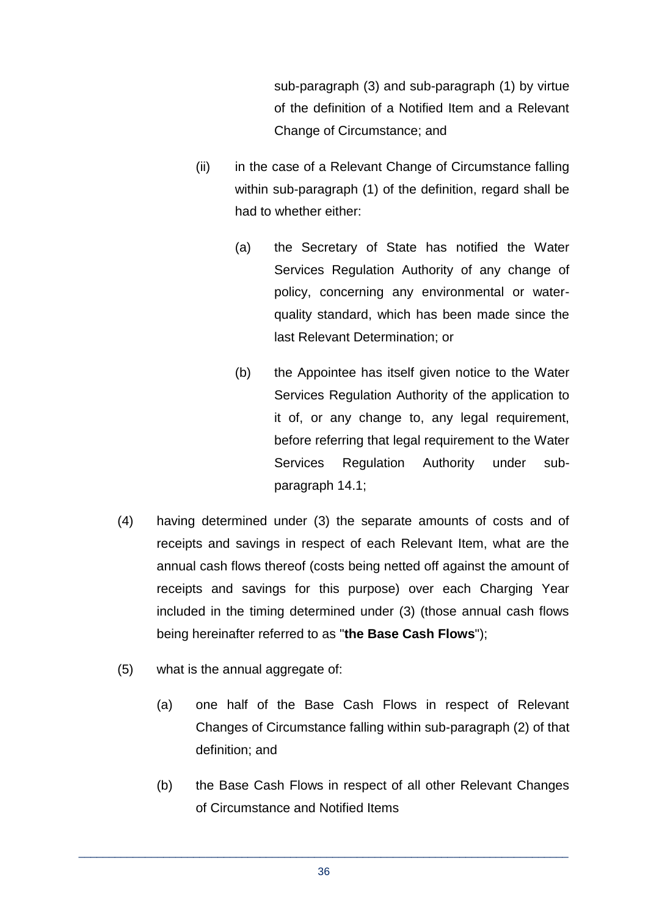sub-paragraph (3) and sub-paragraph (1) by virtue of the definition of a Notified Item and a Relevant Change of Circumstance; and

- (ii) in the case of a Relevant Change of Circumstance falling within sub-paragraph (1) of the definition, regard shall be had to whether either:
	- (a) the Secretary of State has notified the Water Services Regulation Authority of any change of policy, concerning any environmental or waterquality standard, which has been made since the last Relevant Determination; or
	- (b) the Appointee has itself given notice to the Water Services Regulation Authority of the application to it of, or any change to, any legal requirement, before referring that legal requirement to the Water Services Regulation Authority under subparagraph 14.1;
- (4) having determined under (3) the separate amounts of costs and of receipts and savings in respect of each Relevant Item, what are the annual cash flows thereof (costs being netted off against the amount of receipts and savings for this purpose) over each Charging Year included in the timing determined under (3) (those annual cash flows being hereinafter referred to as "**the Base Cash Flows**");
- (5) what is the annual aggregate of:
	- (a) one half of the Base Cash Flows in respect of Relevant Changes of Circumstance falling within sub-paragraph (2) of that definition; and
	- (b) the Base Cash Flows in respect of all other Relevant Changes of Circumstance and Notified Items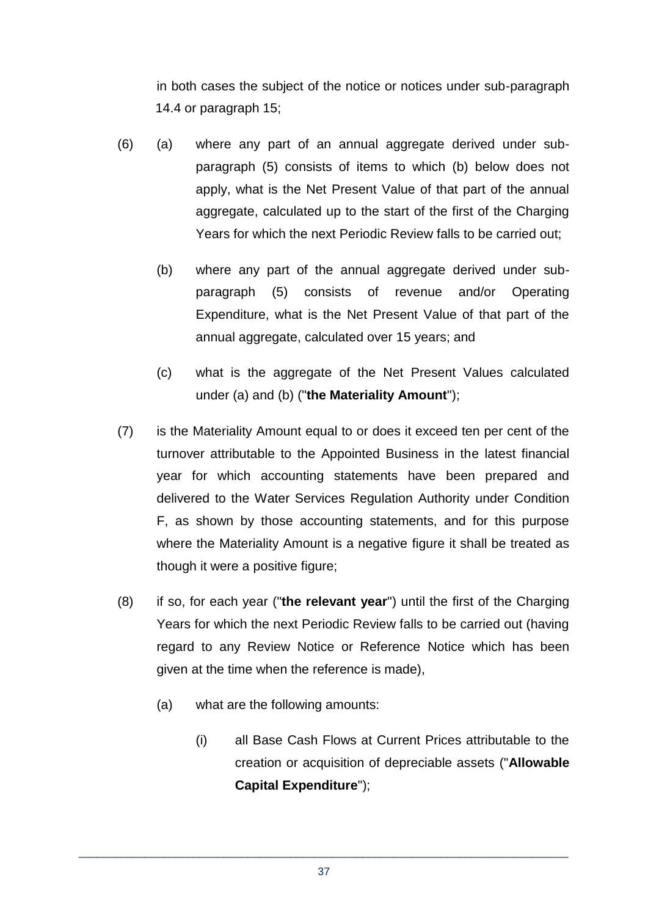in both cases the subject of the notice or notices under sub-paragraph 14.4 or paragraph 15;

- (6) (a) where any part of an annual aggregate derived under subparagraph (5) consists of items to which (b) below does not apply, what is the Net Present Value of that part of the annual aggregate, calculated up to the start of the first of the Charging Years for which the next Periodic Review falls to be carried out;
	- (b) where any part of the annual aggregate derived under subparagraph (5) consists of revenue and/or Operating Expenditure, what is the Net Present Value of that part of the annual aggregate, calculated over 15 years; and
	- (c) what is the aggregate of the Net Present Values calculated under (a) and (b) ("**the Materiality Amount**");
- (7) is the Materiality Amount equal to or does it exceed ten per cent of the turnover attributable to the Appointed Business in the latest financial year for which accounting statements have been prepared and delivered to the Water Services Regulation Authority under Condition F, as shown by those accounting statements, and for this purpose where the Materiality Amount is a negative figure it shall be treated as though it were a positive figure;
- (8) if so, for each year ("**the relevant year**") until the first of the Charging Years for which the next Periodic Review falls to be carried out (having regard to any Review Notice or Reference Notice which has been given at the time when the reference is made),
	- (a) what are the following amounts:
		- (i) all Base Cash Flows at Current Prices attributable to the creation or acquisition of depreciable assets ("**Allowable Capital Expenditure**");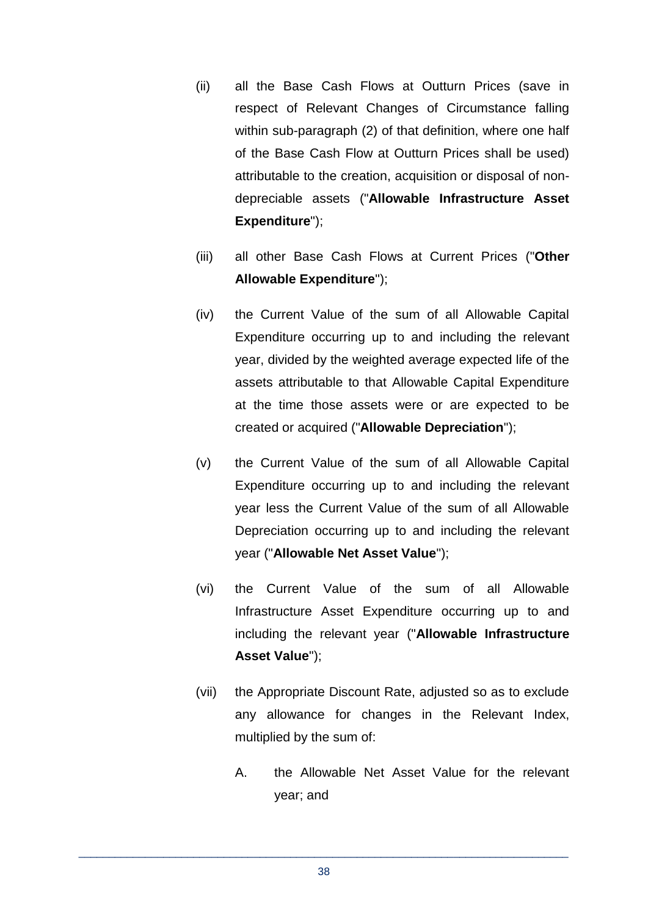- (ii) all the Base Cash Flows at Outturn Prices (save in respect of Relevant Changes of Circumstance falling within sub-paragraph (2) of that definition, where one half of the Base Cash Flow at Outturn Prices shall be used) attributable to the creation, acquisition or disposal of nondepreciable assets ("**Allowable Infrastructure Asset Expenditure**");
- (iii) all other Base Cash Flows at Current Prices ("**Other Allowable Expenditure**");
- (iv) the Current Value of the sum of all Allowable Capital Expenditure occurring up to and including the relevant year, divided by the weighted average expected life of the assets attributable to that Allowable Capital Expenditure at the time those assets were or are expected to be created or acquired ("**Allowable Depreciation**");
- (v) the Current Value of the sum of all Allowable Capital Expenditure occurring up to and including the relevant year less the Current Value of the sum of all Allowable Depreciation occurring up to and including the relevant year ("**Allowable Net Asset Value**");
- (vi) the Current Value of the sum of all Allowable Infrastructure Asset Expenditure occurring up to and including the relevant year ("**Allowable Infrastructure Asset Value**");
- (vii) the Appropriate Discount Rate, adjusted so as to exclude any allowance for changes in the Relevant Index, multiplied by the sum of:
	- A. the Allowable Net Asset Value for the relevant year; and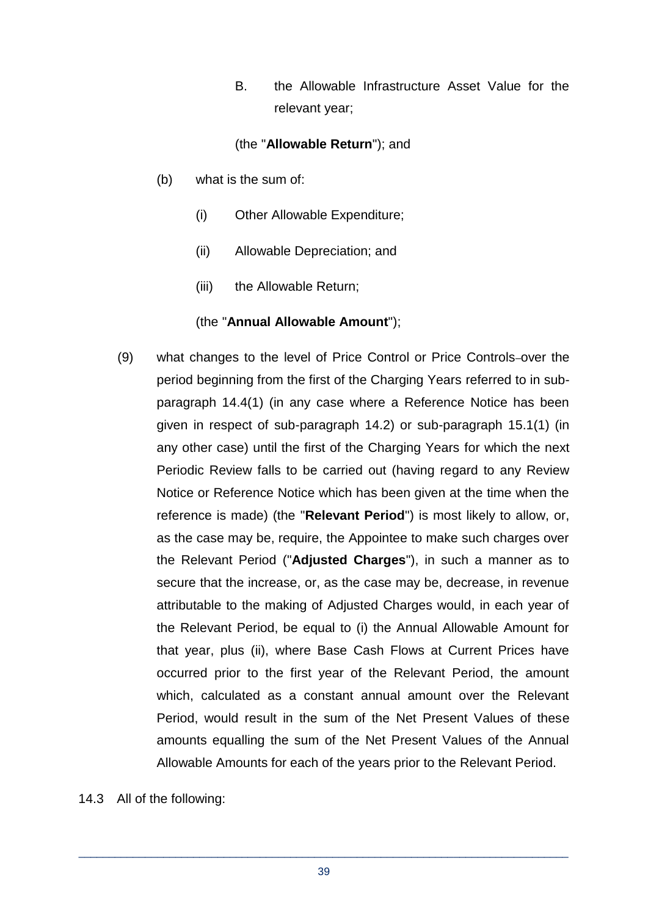B. the Allowable Infrastructure Asset Value for the relevant year;

## (the "**Allowable Return**"); and

- (b) what is the sum of:
	- (i) Other Allowable Expenditure;
	- (ii) Allowable Depreciation; and
	- (iii) the Allowable Return;

## (the "**Annual Allowable Amount**");

(9) what changes to the level of Price Control or Price Controls-over the period beginning from the first of the Charging Years referred to in subparagraph 14.4(1) (in any case where a Reference Notice has been given in respect of sub-paragraph 14.2) or sub-paragraph 15.1(1) (in any other case) until the first of the Charging Years for which the next Periodic Review falls to be carried out (having regard to any Review Notice or Reference Notice which has been given at the time when the reference is made) (the "**Relevant Period**") is most likely to allow, or, as the case may be, require, the Appointee to make such charges over the Relevant Period ("**Adjusted Charges**"), in such a manner as to secure that the increase, or, as the case may be, decrease, in revenue attributable to the making of Adjusted Charges would, in each year of the Relevant Period, be equal to (i) the Annual Allowable Amount for that year, plus (ii), where Base Cash Flows at Current Prices have occurred prior to the first year of the Relevant Period, the amount which, calculated as a constant annual amount over the Relevant Period, would result in the sum of the Net Present Values of these amounts equalling the sum of the Net Present Values of the Annual Allowable Amounts for each of the years prior to the Relevant Period.

14.3 All of the following: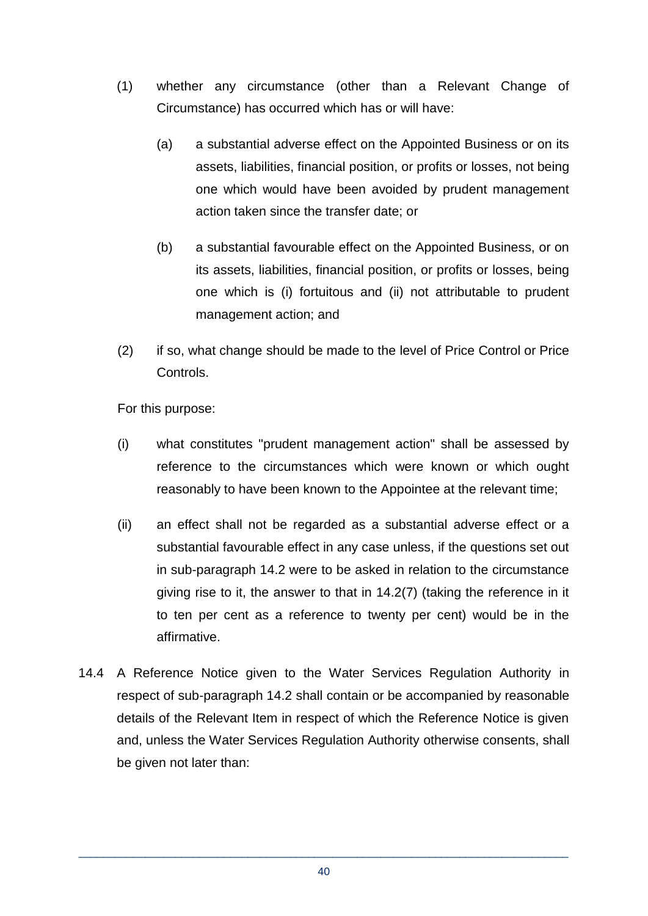- (1) whether any circumstance (other than a Relevant Change of Circumstance) has occurred which has or will have:
	- (a) a substantial adverse effect on the Appointed Business or on its assets, liabilities, financial position, or profits or losses, not being one which would have been avoided by prudent management action taken since the transfer date; or
	- (b) a substantial favourable effect on the Appointed Business, or on its assets, liabilities, financial position, or profits or losses, being one which is (i) fortuitous and (ii) not attributable to prudent management action; and
- (2) if so, what change should be made to the level of Price Control or Price Controls.

For this purpose:

- (i) what constitutes "prudent management action" shall be assessed by reference to the circumstances which were known or which ought reasonably to have been known to the Appointee at the relevant time;
- (ii) an effect shall not be regarded as a substantial adverse effect or a substantial favourable effect in any case unless, if the questions set out in sub-paragraph 14.2 were to be asked in relation to the circumstance giving rise to it, the answer to that in 14.2(7) (taking the reference in it to ten per cent as a reference to twenty per cent) would be in the affirmative.
- 14.4 A Reference Notice given to the Water Services Regulation Authority in respect of sub-paragraph 14.2 shall contain or be accompanied by reasonable details of the Relevant Item in respect of which the Reference Notice is given and, unless the Water Services Regulation Authority otherwise consents, shall be given not later than: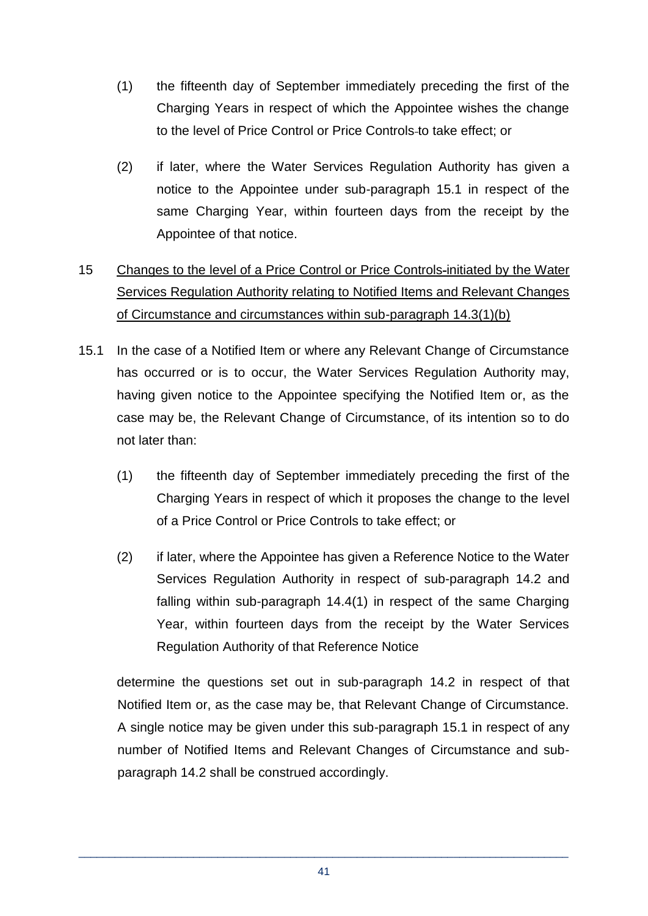- (1) the fifteenth day of September immediately preceding the first of the Charging Years in respect of which the Appointee wishes the change to the level of Price Control or Price Controls to take effect; or
- (2) if later, where the Water Services Regulation Authority has given a notice to the Appointee under sub-paragraph 15.1 in respect of the same Charging Year, within fourteen days from the receipt by the Appointee of that notice.

# 15 Changes to the level of a Price Control or Price Controls initiated by the Water Services Regulation Authority relating to Notified Items and Relevant Changes of Circumstance and circumstances within sub-paragraph 14.3(1)(b)

- 15.1 In the case of a Notified Item or where any Relevant Change of Circumstance has occurred or is to occur, the Water Services Regulation Authority may, having given notice to the Appointee specifying the Notified Item or, as the case may be, the Relevant Change of Circumstance, of its intention so to do not later than:
	- (1) the fifteenth day of September immediately preceding the first of the Charging Years in respect of which it proposes the change to the level of a Price Control or Price Controls to take effect; or
	- (2) if later, where the Appointee has given a Reference Notice to the Water Services Regulation Authority in respect of sub-paragraph 14.2 and falling within sub-paragraph 14.4(1) in respect of the same Charging Year, within fourteen days from the receipt by the Water Services Regulation Authority of that Reference Notice

determine the questions set out in sub-paragraph 14.2 in respect of that Notified Item or, as the case may be, that Relevant Change of Circumstance. A single notice may be given under this sub-paragraph 15.1 in respect of any number of Notified Items and Relevant Changes of Circumstance and subparagraph 14.2 shall be construed accordingly.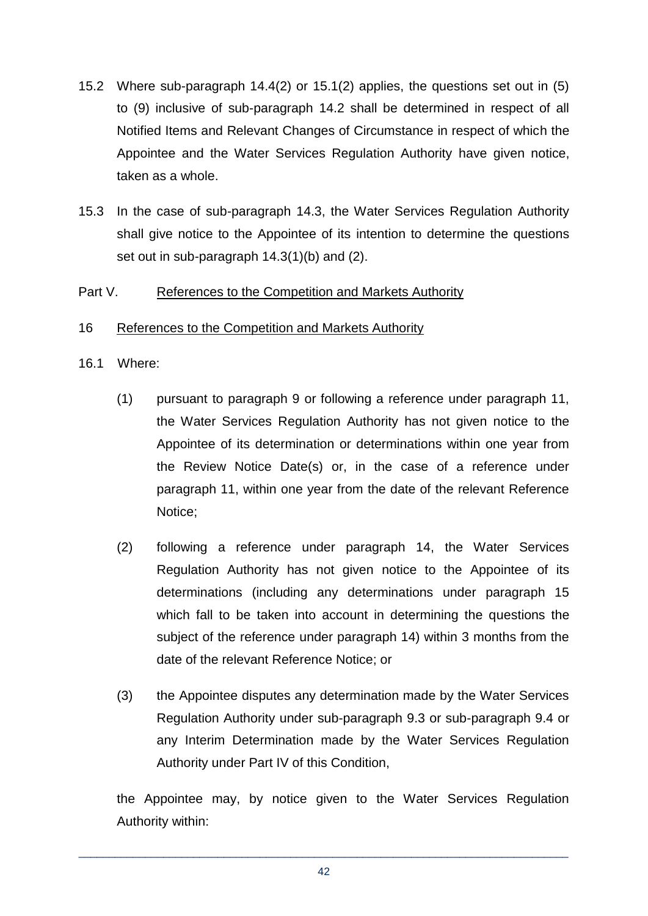- 15.2 Where sub-paragraph 14.4(2) or 15.1(2) applies, the questions set out in (5) to (9) inclusive of sub-paragraph 14.2 shall be determined in respect of all Notified Items and Relevant Changes of Circumstance in respect of which the Appointee and the Water Services Regulation Authority have given notice, taken as a whole.
- 15.3 In the case of sub-paragraph 14.3, the Water Services Regulation Authority shall give notice to the Appointee of its intention to determine the questions set out in sub-paragraph 14.3(1)(b) and (2).

#### Part V. References to the Competition and Markets Authority

#### 16 References to the Competition and Markets Authority

- 16.1 Where:
	- (1) pursuant to paragraph 9 or following a reference under paragraph 11, the Water Services Regulation Authority has not given notice to the Appointee of its determination or determinations within one year from the Review Notice Date(s) or, in the case of a reference under paragraph 11, within one year from the date of the relevant Reference Notice;
	- (2) following a reference under paragraph 14, the Water Services Regulation Authority has not given notice to the Appointee of its determinations (including any determinations under paragraph 15 which fall to be taken into account in determining the questions the subject of the reference under paragraph 14) within 3 months from the date of the relevant Reference Notice; or
	- (3) the Appointee disputes any determination made by the Water Services Regulation Authority under sub-paragraph 9.3 or sub-paragraph 9.4 or any Interim Determination made by the Water Services Regulation Authority under Part IV of this Condition,

the Appointee may, by notice given to the Water Services Regulation Authority within: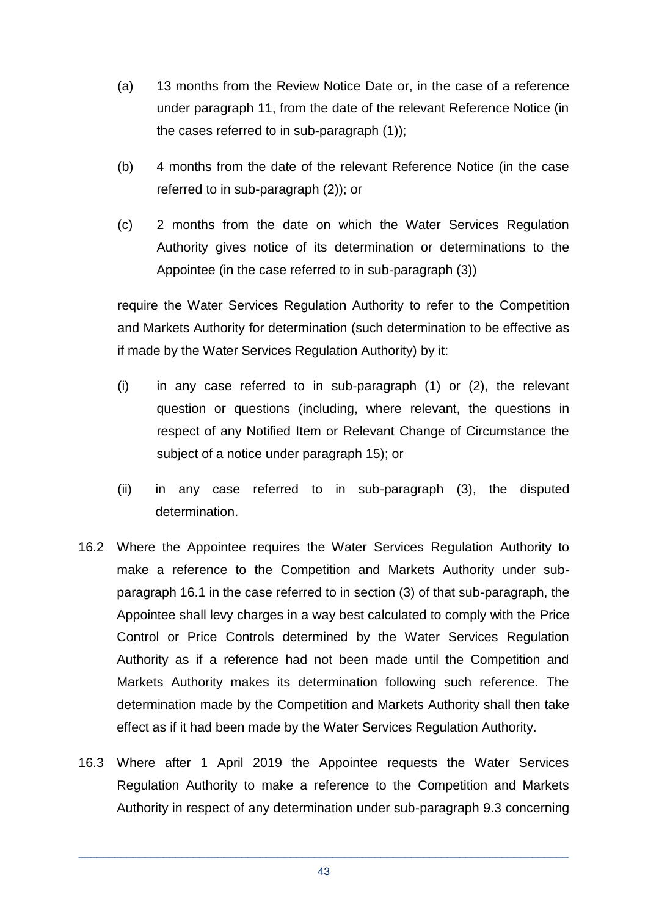- (a) 13 months from the Review Notice Date or, in the case of a reference under paragraph 11, from the date of the relevant Reference Notice (in the cases referred to in sub-paragraph (1));
- (b) 4 months from the date of the relevant Reference Notice (in the case referred to in sub-paragraph (2)); or
- (c) 2 months from the date on which the Water Services Regulation Authority gives notice of its determination or determinations to the Appointee (in the case referred to in sub-paragraph (3))

require the Water Services Regulation Authority to refer to the Competition and Markets Authority for determination (such determination to be effective as if made by the Water Services Regulation Authority) by it:

- (i) in any case referred to in sub-paragraph (1) or (2), the relevant question or questions (including, where relevant, the questions in respect of any Notified Item or Relevant Change of Circumstance the subject of a notice under paragraph 15); or
- (ii) in any case referred to in sub-paragraph (3), the disputed determination.
- 16.2 Where the Appointee requires the Water Services Regulation Authority to make a reference to the Competition and Markets Authority under subparagraph 16.1 in the case referred to in section (3) of that sub-paragraph, the Appointee shall levy charges in a way best calculated to comply with the Price Control or Price Controls determined by the Water Services Regulation Authority as if a reference had not been made until the Competition and Markets Authority makes its determination following such reference. The determination made by the Competition and Markets Authority shall then take effect as if it had been made by the Water Services Regulation Authority.
- 16.3 Where after 1 April 2019 the Appointee requests the Water Services Regulation Authority to make a reference to the Competition and Markets Authority in respect of any determination under sub-paragraph 9.3 concerning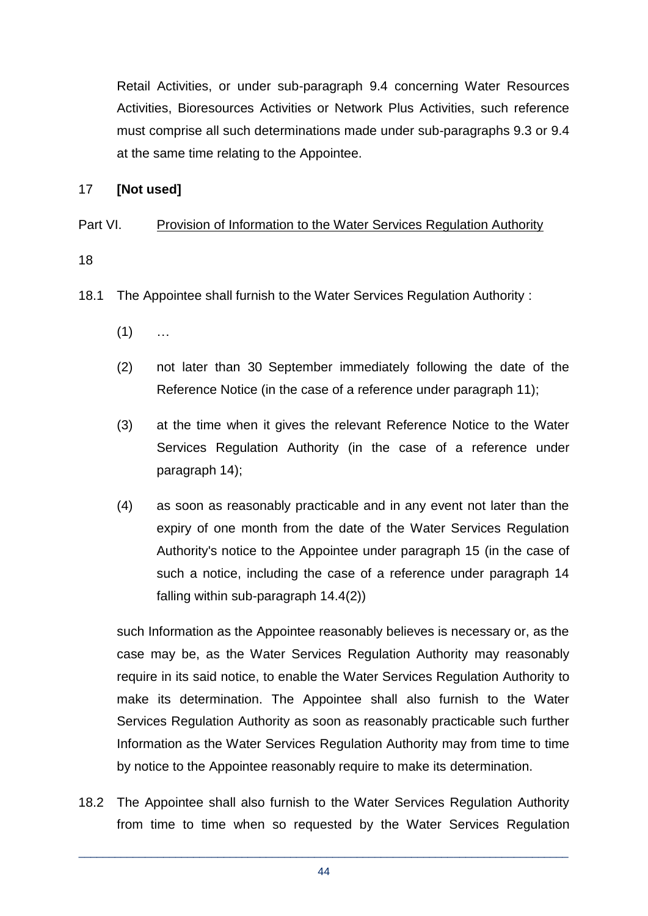Retail Activities, or under sub-paragraph 9.4 concerning Water Resources Activities, Bioresources Activities or Network Plus Activities, such reference must comprise all such determinations made under sub-paragraphs 9.3 or 9.4 at the same time relating to the Appointee.

#### 17 **[Not used]**

## Part VI. Provision of Information to the Water Services Regulation Authority

18

- 18.1 The Appointee shall furnish to the Water Services Regulation Authority :
	- $(1)$  ...
	- (2) not later than 30 September immediately following the date of the Reference Notice (in the case of a reference under paragraph 11);
	- (3) at the time when it gives the relevant Reference Notice to the Water Services Regulation Authority (in the case of a reference under paragraph 14);
	- (4) as soon as reasonably practicable and in any event not later than the expiry of one month from the date of the Water Services Regulation Authority's notice to the Appointee under paragraph 15 (in the case of such a notice, including the case of a reference under paragraph 14 falling within sub-paragraph 14.4(2))

such Information as the Appointee reasonably believes is necessary or, as the case may be, as the Water Services Regulation Authority may reasonably require in its said notice, to enable the Water Services Regulation Authority to make its determination. The Appointee shall also furnish to the Water Services Regulation Authority as soon as reasonably practicable such further Information as the Water Services Regulation Authority may from time to time by notice to the Appointee reasonably require to make its determination.

18.2 The Appointee shall also furnish to the Water Services Regulation Authority from time to time when so requested by the Water Services Regulation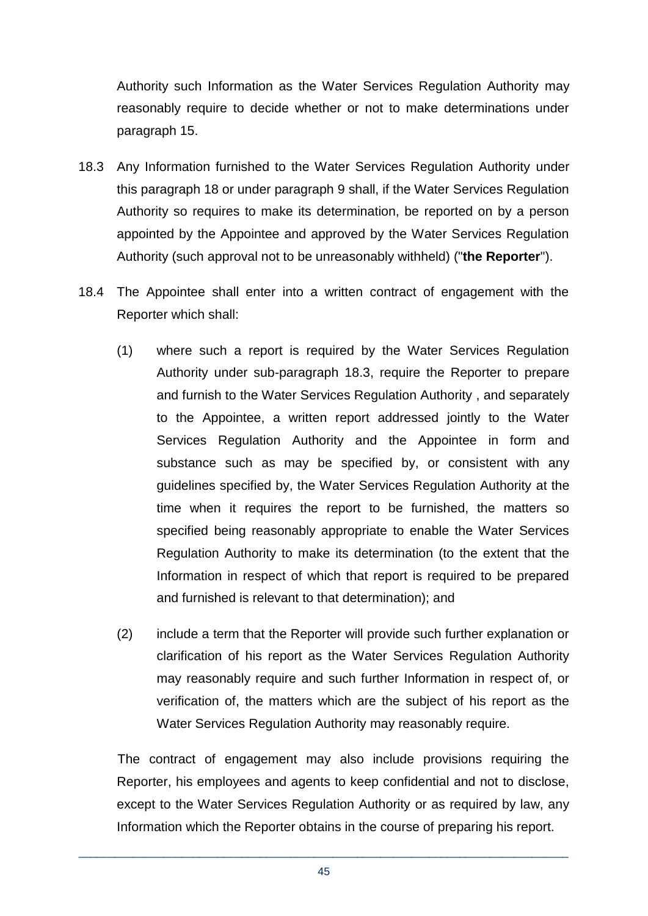Authority such Information as the Water Services Regulation Authority may reasonably require to decide whether or not to make determinations under paragraph 15.

- 18.3 Any Information furnished to the Water Services Regulation Authority under this paragraph 18 or under paragraph 9 shall, if the Water Services Regulation Authority so requires to make its determination, be reported on by a person appointed by the Appointee and approved by the Water Services Regulation Authority (such approval not to be unreasonably withheld) ("**the Reporter**").
- 18.4 The Appointee shall enter into a written contract of engagement with the Reporter which shall:
	- (1) where such a report is required by the Water Services Regulation Authority under sub-paragraph 18.3, require the Reporter to prepare and furnish to the Water Services Regulation Authority , and separately to the Appointee, a written report addressed jointly to the Water Services Regulation Authority and the Appointee in form and substance such as may be specified by, or consistent with any guidelines specified by, the Water Services Regulation Authority at the time when it requires the report to be furnished, the matters so specified being reasonably appropriate to enable the Water Services Regulation Authority to make its determination (to the extent that the Information in respect of which that report is required to be prepared and furnished is relevant to that determination); and
	- (2) include a term that the Reporter will provide such further explanation or clarification of his report as the Water Services Regulation Authority may reasonably require and such further Information in respect of, or verification of, the matters which are the subject of his report as the Water Services Regulation Authority may reasonably require.

The contract of engagement may also include provisions requiring the Reporter, his employees and agents to keep confidential and not to disclose, except to the Water Services Regulation Authority or as required by law, any Information which the Reporter obtains in the course of preparing his report.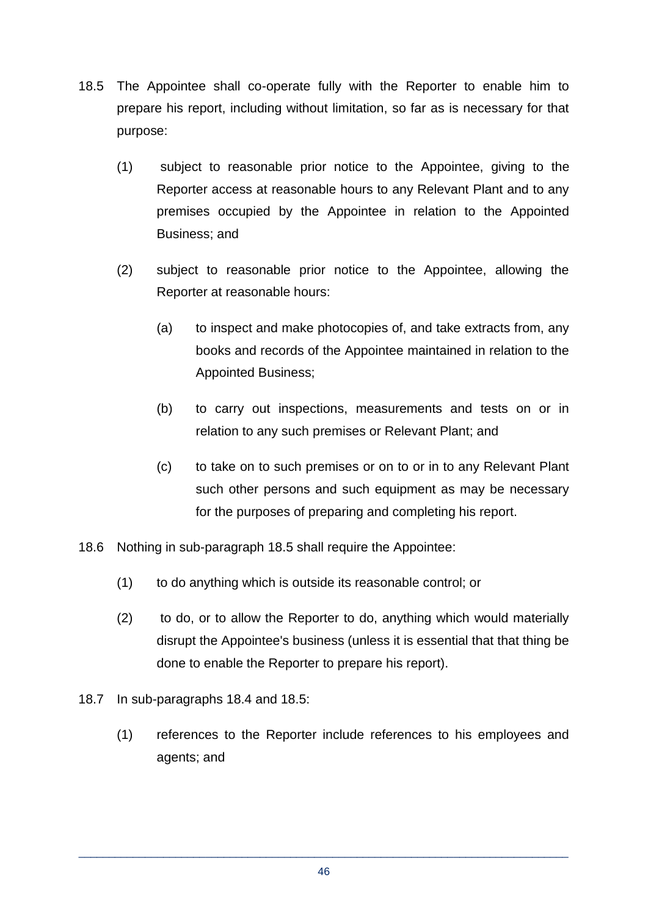- 18.5 The Appointee shall co-operate fully with the Reporter to enable him to prepare his report, including without limitation, so far as is necessary for that purpose:
	- (1) subject to reasonable prior notice to the Appointee, giving to the Reporter access at reasonable hours to any Relevant Plant and to any premises occupied by the Appointee in relation to the Appointed Business; and
	- (2) subject to reasonable prior notice to the Appointee, allowing the Reporter at reasonable hours:
		- (a) to inspect and make photocopies of, and take extracts from, any books and records of the Appointee maintained in relation to the Appointed Business;
		- (b) to carry out inspections, measurements and tests on or in relation to any such premises or Relevant Plant; and
		- (c) to take on to such premises or on to or in to any Relevant Plant such other persons and such equipment as may be necessary for the purposes of preparing and completing his report.
- 18.6 Nothing in sub-paragraph 18.5 shall require the Appointee:
	- (1) to do anything which is outside its reasonable control; or
	- (2) to do, or to allow the Reporter to do, anything which would materially disrupt the Appointee's business (unless it is essential that that thing be done to enable the Reporter to prepare his report).
- 18.7 In sub-paragraphs 18.4 and 18.5:
	- (1) references to the Reporter include references to his employees and agents; and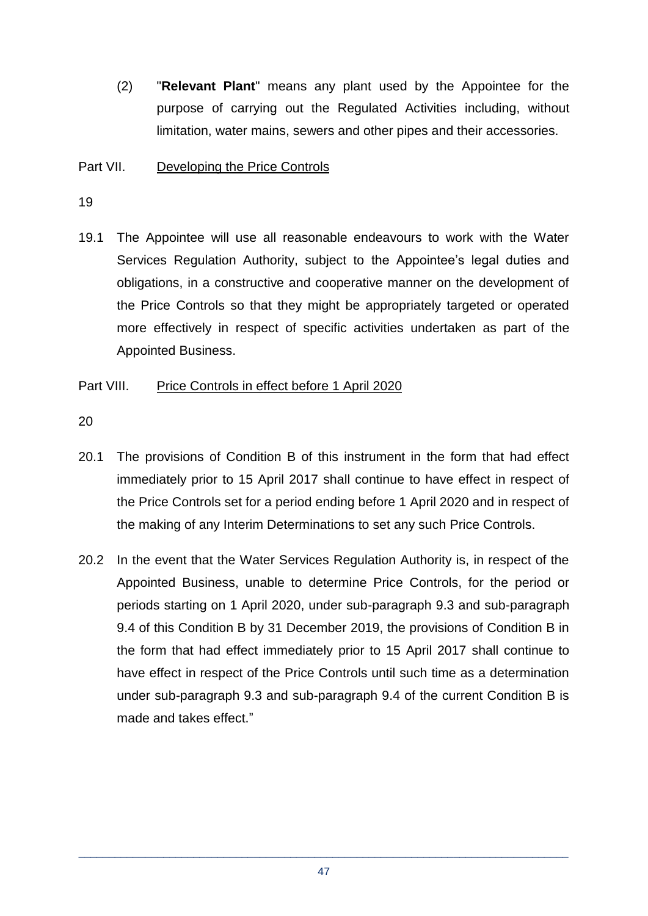(2) "**Relevant Plant**" means any plant used by the Appointee for the purpose of carrying out the Regulated Activities including, without limitation, water mains, sewers and other pipes and their accessories.

## Part VII. Developing the Price Controls

19

19.1 The Appointee will use all reasonable endeavours to work with the Water Services Regulation Authority, subject to the Appointee's legal duties and obligations, in a constructive and cooperative manner on the development of the Price Controls so that they might be appropriately targeted or operated more effectively in respect of specific activities undertaken as part of the Appointed Business.

## Part VIII. Price Controls in effect before 1 April 2020

20

- 20.1 The provisions of Condition B of this instrument in the form that had effect immediately prior to 15 April 2017 shall continue to have effect in respect of the Price Controls set for a period ending before 1 April 2020 and in respect of the making of any Interim Determinations to set any such Price Controls.
- 20.2 In the event that the Water Services Regulation Authority is, in respect of the Appointed Business, unable to determine Price Controls, for the period or periods starting on 1 April 2020, under sub-paragraph 9.3 and sub-paragraph 9.4 of this Condition B by 31 December 2019, the provisions of Condition B in the form that had effect immediately prior to 15 April 2017 shall continue to have effect in respect of the Price Controls until such time as a determination under sub-paragraph 9.3 and sub-paragraph 9.4 of the current Condition B is made and takes effect."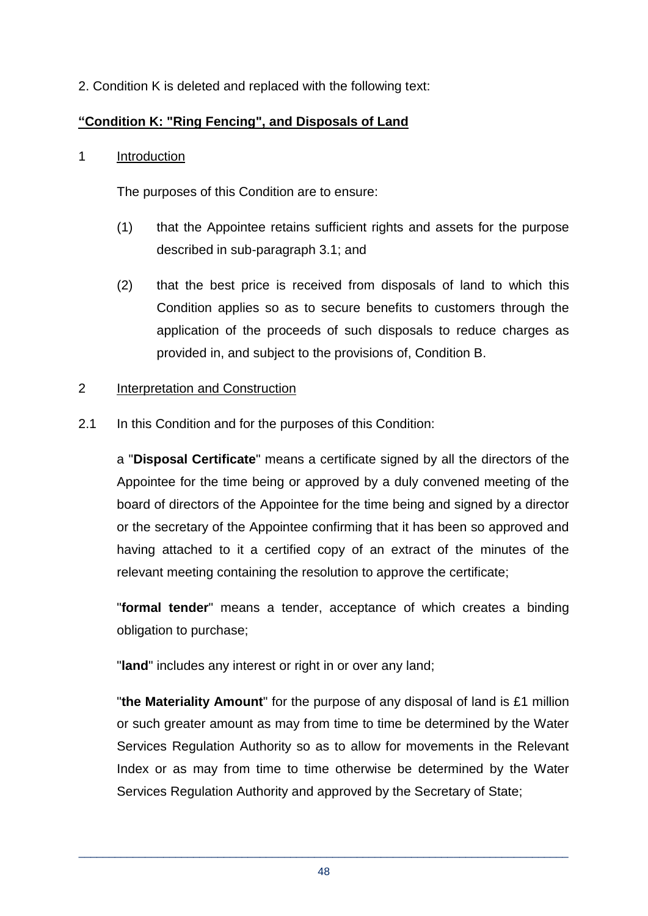2. Condition K is deleted and replaced with the following text:

## **"Condition K: "Ring Fencing", and Disposals of Land**

#### 1 Introduction

The purposes of this Condition are to ensure:

- (1) that the Appointee retains sufficient rights and assets for the purpose described in sub-paragraph 3.1; and
- (2) that the best price is received from disposals of land to which this Condition applies so as to secure benefits to customers through the application of the proceeds of such disposals to reduce charges as provided in, and subject to the provisions of, Condition B.

## 2 Interpretation and Construction

2.1 In this Condition and for the purposes of this Condition:

a "**Disposal Certificate**" means a certificate signed by all the directors of the Appointee for the time being or approved by a duly convened meeting of the board of directors of the Appointee for the time being and signed by a director or the secretary of the Appointee confirming that it has been so approved and having attached to it a certified copy of an extract of the minutes of the relevant meeting containing the resolution to approve the certificate;

"**formal tender**" means a tender, acceptance of which creates a binding obligation to purchase;

"**land**" includes any interest or right in or over any land;

"**the Materiality Amount**" for the purpose of any disposal of land is £1 million or such greater amount as may from time to time be determined by the Water Services Regulation Authority so as to allow for movements in the Relevant Index or as may from time to time otherwise be determined by the Water Services Regulation Authority and approved by the Secretary of State;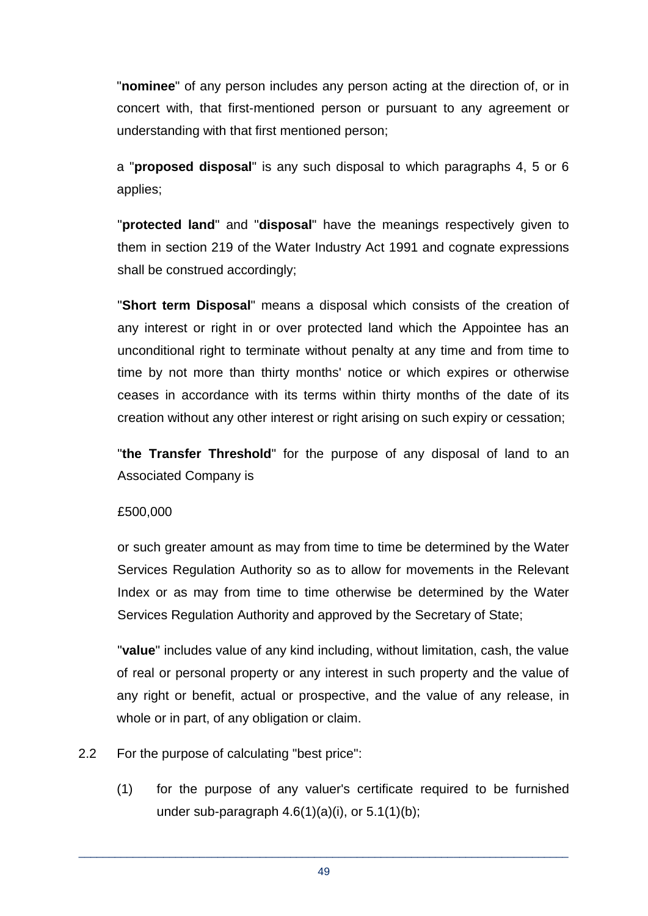"**nominee**" of any person includes any person acting at the direction of, or in concert with, that first-mentioned person or pursuant to any agreement or understanding with that first mentioned person;

a "**proposed disposal**" is any such disposal to which paragraphs 4, 5 or 6 applies;

"**protected land**" and "**disposal**" have the meanings respectively given to them in section 219 of the Water Industry Act 1991 and cognate expressions shall be construed accordingly;

"**Short term Disposal**" means a disposal which consists of the creation of any interest or right in or over protected land which the Appointee has an unconditional right to terminate without penalty at any time and from time to time by not more than thirty months' notice or which expires or otherwise ceases in accordance with its terms within thirty months of the date of its creation without any other interest or right arising on such expiry or cessation;

"**the Transfer Threshold**" for the purpose of any disposal of land to an Associated Company is

#### £500,000

or such greater amount as may from time to time be determined by the Water Services Regulation Authority so as to allow for movements in the Relevant Index or as may from time to time otherwise be determined by the Water Services Regulation Authority and approved by the Secretary of State;

"**value**" includes value of any kind including, without limitation, cash, the value of real or personal property or any interest in such property and the value of any right or benefit, actual or prospective, and the value of any release, in whole or in part, of any obligation or claim.

- 2.2 For the purpose of calculating "best price":
	- (1) for the purpose of any valuer's certificate required to be furnished under sub-paragraph  $4.6(1)(a)(i)$ , or  $5.1(1)(b)$ ;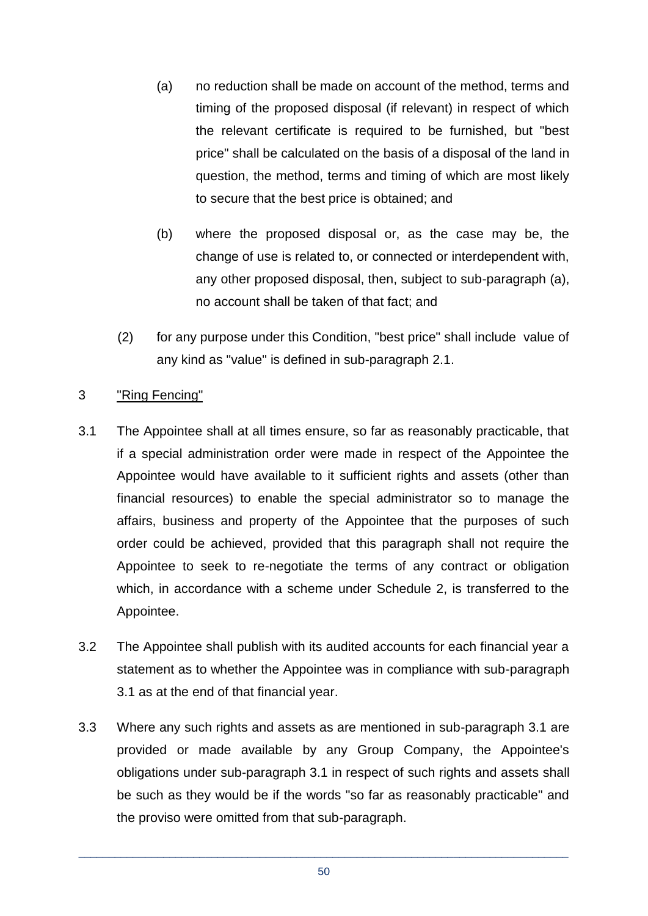- (a) no reduction shall be made on account of the method, terms and timing of the proposed disposal (if relevant) in respect of which the relevant certificate is required to be furnished, but "best price" shall be calculated on the basis of a disposal of the land in question, the method, terms and timing of which are most likely to secure that the best price is obtained; and
- (b) where the proposed disposal or, as the case may be, the change of use is related to, or connected or interdependent with, any other proposed disposal, then, subject to sub-paragraph (a), no account shall be taken of that fact; and
- (2) for any purpose under this Condition, "best price" shall include value of any kind as "value" is defined in sub-paragraph 2.1.

## 3 "Ring Fencing"

- 3.1 The Appointee shall at all times ensure, so far as reasonably practicable, that if a special administration order were made in respect of the Appointee the Appointee would have available to it sufficient rights and assets (other than financial resources) to enable the special administrator so to manage the affairs, business and property of the Appointee that the purposes of such order could be achieved, provided that this paragraph shall not require the Appointee to seek to re-negotiate the terms of any contract or obligation which, in accordance with a scheme under Schedule 2, is transferred to the Appointee.
- 3.2 The Appointee shall publish with its audited accounts for each financial year a statement as to whether the Appointee was in compliance with sub-paragraph 3.1 as at the end of that financial year.
- 3.3 Where any such rights and assets as are mentioned in sub-paragraph 3.1 are provided or made available by any Group Company, the Appointee's obligations under sub-paragraph 3.1 in respect of such rights and assets shall be such as they would be if the words "so far as reasonably practicable" and the proviso were omitted from that sub-paragraph.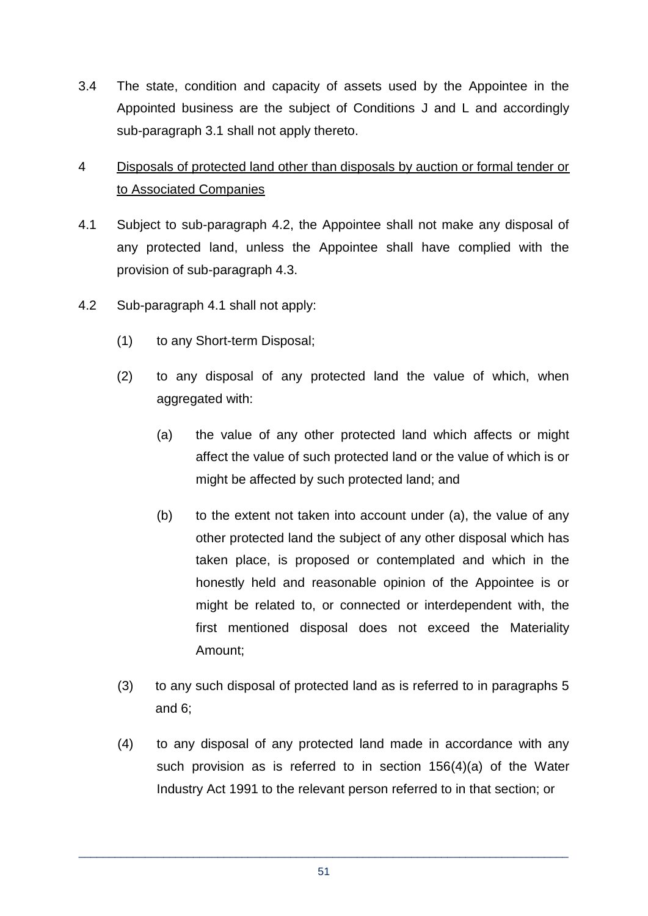3.4 The state, condition and capacity of assets used by the Appointee in the Appointed business are the subject of Conditions J and L and accordingly sub-paragraph 3.1 shall not apply thereto.

## 4 Disposals of protected land other than disposals by auction or formal tender or to Associated Companies

- 4.1 Subject to sub-paragraph 4.2, the Appointee shall not make any disposal of any protected land, unless the Appointee shall have complied with the provision of sub-paragraph 4.3.
- 4.2 Sub-paragraph 4.1 shall not apply:
	- (1) to any Short-term Disposal;
	- (2) to any disposal of any protected land the value of which, when aggregated with:
		- (a) the value of any other protected land which affects or might affect the value of such protected land or the value of which is or might be affected by such protected land; and
		- (b) to the extent not taken into account under (a), the value of any other protected land the subject of any other disposal which has taken place, is proposed or contemplated and which in the honestly held and reasonable opinion of the Appointee is or might be related to, or connected or interdependent with, the first mentioned disposal does not exceed the Materiality Amount;
	- (3) to any such disposal of protected land as is referred to in paragraphs 5 and 6;
	- (4) to any disposal of any protected land made in accordance with any such provision as is referred to in section 156(4)(a) of the Water Industry Act 1991 to the relevant person referred to in that section; or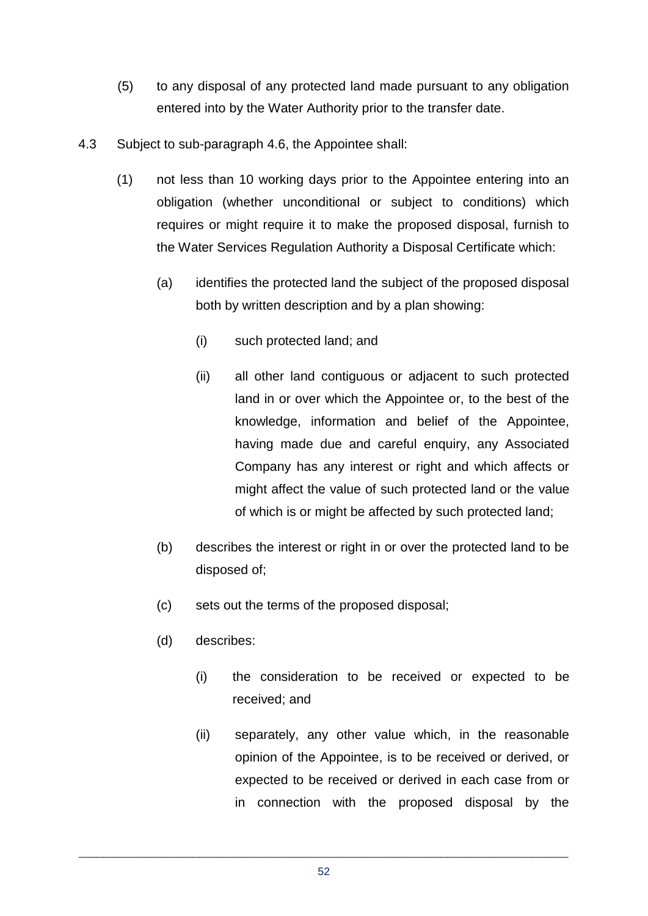- (5) to any disposal of any protected land made pursuant to any obligation entered into by the Water Authority prior to the transfer date.
- 4.3 Subject to sub-paragraph 4.6, the Appointee shall:
	- (1) not less than 10 working days prior to the Appointee entering into an obligation (whether unconditional or subject to conditions) which requires or might require it to make the proposed disposal, furnish to the Water Services Regulation Authority a Disposal Certificate which:
		- (a) identifies the protected land the subject of the proposed disposal both by written description and by a plan showing:
			- (i) such protected land; and
			- (ii) all other land contiguous or adjacent to such protected land in or over which the Appointee or, to the best of the knowledge, information and belief of the Appointee, having made due and careful enquiry, any Associated Company has any interest or right and which affects or might affect the value of such protected land or the value of which is or might be affected by such protected land;
		- (b) describes the interest or right in or over the protected land to be disposed of;
		- (c) sets out the terms of the proposed disposal;
		- (d) describes:
			- (i) the consideration to be received or expected to be received; and
			- (ii) separately, any other value which, in the reasonable opinion of the Appointee, is to be received or derived, or expected to be received or derived in each case from or in connection with the proposed disposal by the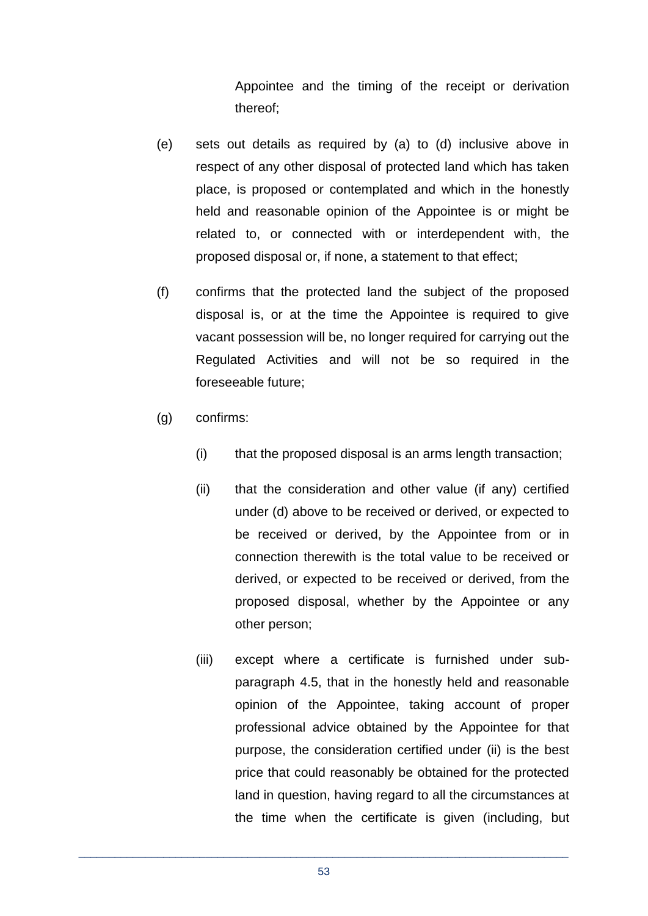Appointee and the timing of the receipt or derivation thereof;

- (e) sets out details as required by (a) to (d) inclusive above in respect of any other disposal of protected land which has taken place, is proposed or contemplated and which in the honestly held and reasonable opinion of the Appointee is or might be related to, or connected with or interdependent with, the proposed disposal or, if none, a statement to that effect;
- (f) confirms that the protected land the subject of the proposed disposal is, or at the time the Appointee is required to give vacant possession will be, no longer required for carrying out the Regulated Activities and will not be so required in the foreseeable future;
- (g) confirms:
	- (i) that the proposed disposal is an arms length transaction;
	- (ii) that the consideration and other value (if any) certified under (d) above to be received or derived, or expected to be received or derived, by the Appointee from or in connection therewith is the total value to be received or derived, or expected to be received or derived, from the proposed disposal, whether by the Appointee or any other person;
	- (iii) except where a certificate is furnished under subparagraph 4.5, that in the honestly held and reasonable opinion of the Appointee, taking account of proper professional advice obtained by the Appointee for that purpose, the consideration certified under (ii) is the best price that could reasonably be obtained for the protected land in question, having regard to all the circumstances at the time when the certificate is given (including, but

\_\_\_\_\_\_\_\_\_\_\_\_\_\_\_\_\_\_\_\_\_\_\_\_\_\_\_\_\_\_\_\_\_\_\_\_\_\_\_\_\_\_\_\_\_\_\_\_\_\_\_\_\_\_\_\_\_\_\_\_\_\_\_\_\_\_\_\_\_\_\_\_\_\_\_\_\_\_\_\_\_ 53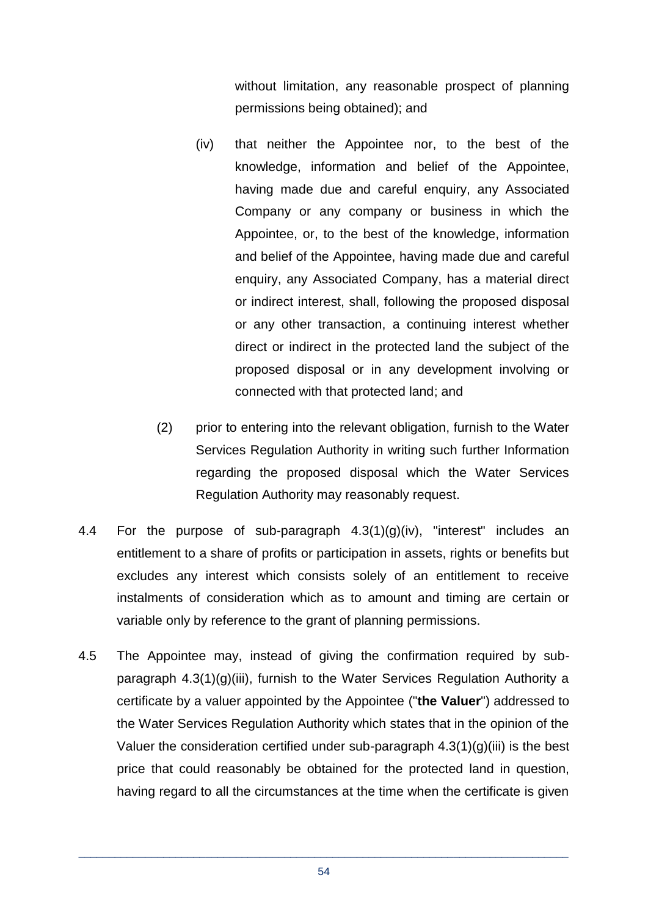without limitation, any reasonable prospect of planning permissions being obtained); and

- (iv) that neither the Appointee nor, to the best of the knowledge, information and belief of the Appointee, having made due and careful enquiry, any Associated Company or any company or business in which the Appointee, or, to the best of the knowledge, information and belief of the Appointee, having made due and careful enquiry, any Associated Company, has a material direct or indirect interest, shall, following the proposed disposal or any other transaction, a continuing interest whether direct or indirect in the protected land the subject of the proposed disposal or in any development involving or connected with that protected land; and
- (2) prior to entering into the relevant obligation, furnish to the Water Services Regulation Authority in writing such further Information regarding the proposed disposal which the Water Services Regulation Authority may reasonably request.
- 4.4 For the purpose of sub-paragraph 4.3(1)(g)(iv), "interest" includes an entitlement to a share of profits or participation in assets, rights or benefits but excludes any interest which consists solely of an entitlement to receive instalments of consideration which as to amount and timing are certain or variable only by reference to the grant of planning permissions.
- 4.5 The Appointee may, instead of giving the confirmation required by subparagraph 4.3(1)(g)(iii), furnish to the Water Services Regulation Authority a certificate by a valuer appointed by the Appointee ("**the Valuer**") addressed to the Water Services Regulation Authority which states that in the opinion of the Valuer the consideration certified under sub-paragraph  $4.3(1)(g)(iii)$  is the best price that could reasonably be obtained for the protected land in question, having regard to all the circumstances at the time when the certificate is given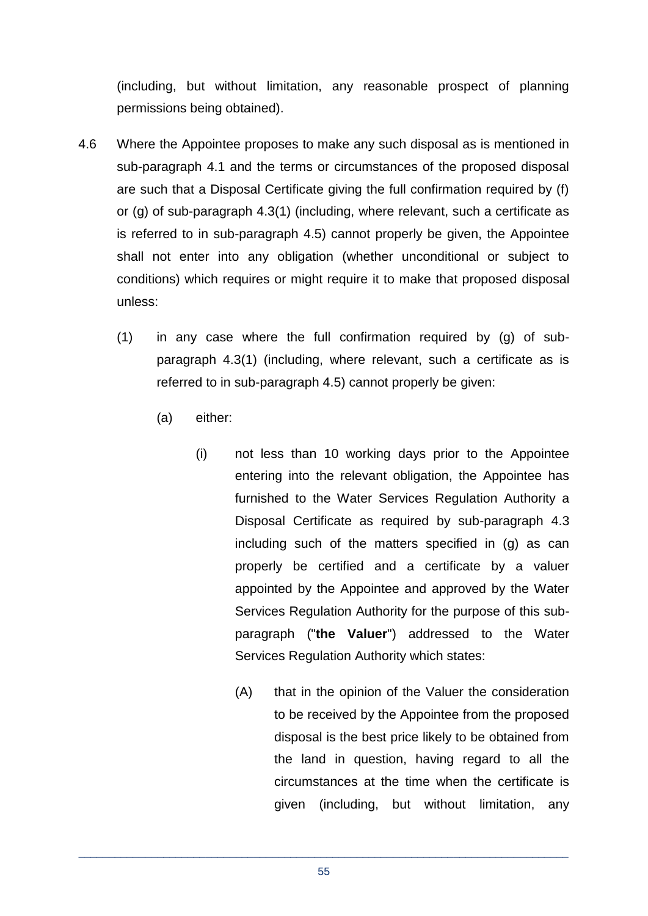(including, but without limitation, any reasonable prospect of planning permissions being obtained).

- 4.6 Where the Appointee proposes to make any such disposal as is mentioned in sub-paragraph 4.1 and the terms or circumstances of the proposed disposal are such that a Disposal Certificate giving the full confirmation required by (f) or (g) of sub-paragraph 4.3(1) (including, where relevant, such a certificate as is referred to in sub-paragraph 4.5) cannot properly be given, the Appointee shall not enter into any obligation (whether unconditional or subject to conditions) which requires or might require it to make that proposed disposal unless:
	- (1) in any case where the full confirmation required by (g) of subparagraph 4.3(1) (including, where relevant, such a certificate as is referred to in sub-paragraph 4.5) cannot properly be given:
		- (a) either:
			- (i) not less than 10 working days prior to the Appointee entering into the relevant obligation, the Appointee has furnished to the Water Services Regulation Authority a Disposal Certificate as required by sub-paragraph 4.3 including such of the matters specified in (g) as can properly be certified and a certificate by a valuer appointed by the Appointee and approved by the Water Services Regulation Authority for the purpose of this subparagraph ("**the Valuer**") addressed to the Water Services Regulation Authority which states:
				- (A) that in the opinion of the Valuer the consideration to be received by the Appointee from the proposed disposal is the best price likely to be obtained from the land in question, having regard to all the circumstances at the time when the certificate is given (including, but without limitation, any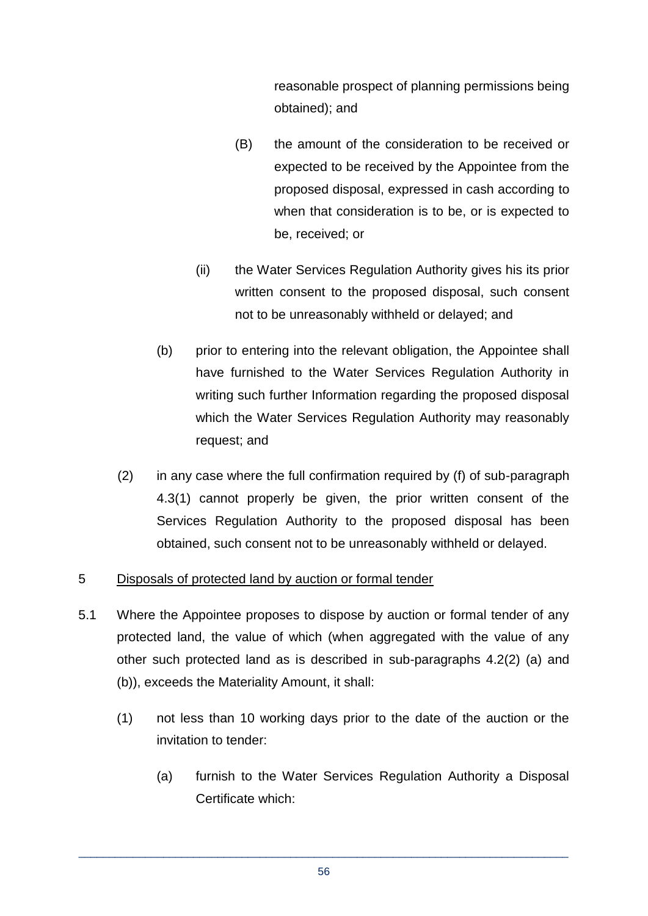reasonable prospect of planning permissions being obtained); and

- (B) the amount of the consideration to be received or expected to be received by the Appointee from the proposed disposal, expressed in cash according to when that consideration is to be, or is expected to be, received; or
- (ii) the Water Services Regulation Authority gives his its prior written consent to the proposed disposal, such consent not to be unreasonably withheld or delayed; and
- (b) prior to entering into the relevant obligation, the Appointee shall have furnished to the Water Services Regulation Authority in writing such further Information regarding the proposed disposal which the Water Services Regulation Authority may reasonably request; and
- (2) in any case where the full confirmation required by (f) of sub-paragraph 4.3(1) cannot properly be given, the prior written consent of the Services Regulation Authority to the proposed disposal has been obtained, such consent not to be unreasonably withheld or delayed.

#### 5 Disposals of protected land by auction or formal tender

- 5.1 Where the Appointee proposes to dispose by auction or formal tender of any protected land, the value of which (when aggregated with the value of any other such protected land as is described in sub-paragraphs 4.2(2) (a) and (b)), exceeds the Materiality Amount, it shall:
	- (1) not less than 10 working days prior to the date of the auction or the invitation to tender:
		- (a) furnish to the Water Services Regulation Authority a Disposal Certificate which: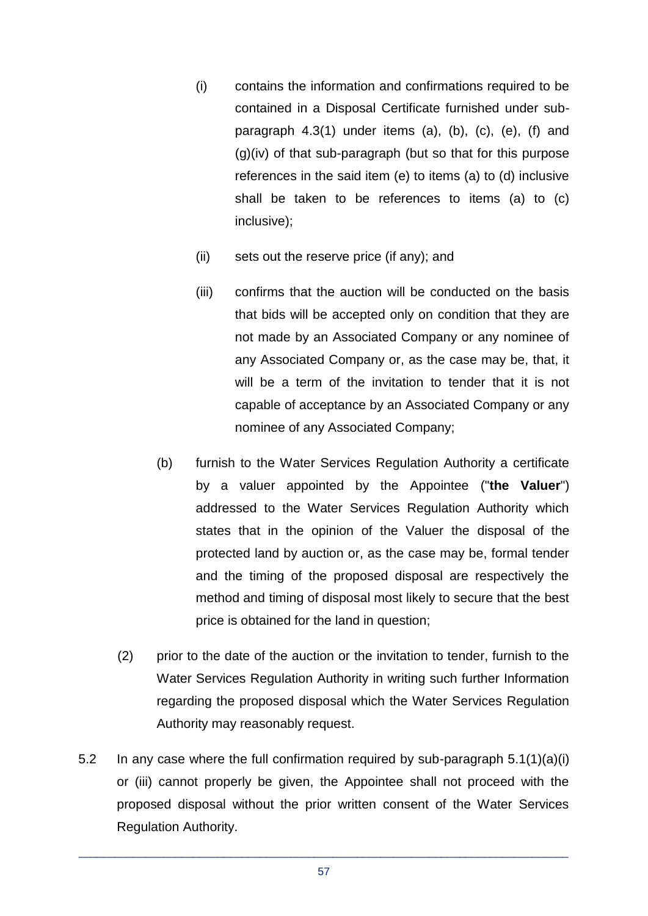- (i) contains the information and confirmations required to be contained in a Disposal Certificate furnished under subparagraph 4.3(1) under items (a), (b), (c), (e), (f) and (g)(iv) of that sub-paragraph (but so that for this purpose references in the said item (e) to items (a) to (d) inclusive shall be taken to be references to items (a) to (c) inclusive);
- (ii) sets out the reserve price (if any); and
- (iii) confirms that the auction will be conducted on the basis that bids will be accepted only on condition that they are not made by an Associated Company or any nominee of any Associated Company or, as the case may be, that, it will be a term of the invitation to tender that it is not capable of acceptance by an Associated Company or any nominee of any Associated Company;
- (b) furnish to the Water Services Regulation Authority a certificate by a valuer appointed by the Appointee ("**the Valuer**") addressed to the Water Services Regulation Authority which states that in the opinion of the Valuer the disposal of the protected land by auction or, as the case may be, formal tender and the timing of the proposed disposal are respectively the method and timing of disposal most likely to secure that the best price is obtained for the land in question;
- (2) prior to the date of the auction or the invitation to tender, furnish to the Water Services Regulation Authority in writing such further Information regarding the proposed disposal which the Water Services Regulation Authority may reasonably request.
- 5.2 In any case where the full confirmation required by sub-paragraph 5.1(1)(a)(i) or (iii) cannot properly be given, the Appointee shall not proceed with the proposed disposal without the prior written consent of the Water Services Regulation Authority.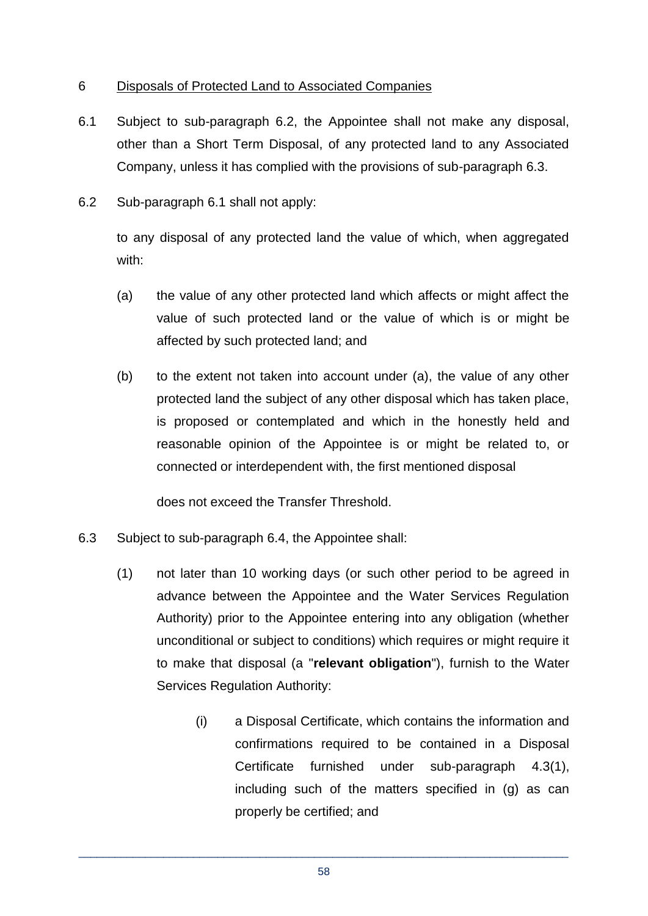## 6 Disposals of Protected Land to Associated Companies

- 6.1 Subject to sub-paragraph 6.2, the Appointee shall not make any disposal, other than a Short Term Disposal, of any protected land to any Associated Company, unless it has complied with the provisions of sub-paragraph 6.3.
- 6.2 Sub-paragraph 6.1 shall not apply:

to any disposal of any protected land the value of which, when aggregated with:

- (a) the value of any other protected land which affects or might affect the value of such protected land or the value of which is or might be affected by such protected land; and
- (b) to the extent not taken into account under (a), the value of any other protected land the subject of any other disposal which has taken place, is proposed or contemplated and which in the honestly held and reasonable opinion of the Appointee is or might be related to, or connected or interdependent with, the first mentioned disposal

does not exceed the Transfer Threshold.

- 6.3 Subject to sub-paragraph 6.4, the Appointee shall:
	- (1) not later than 10 working days (or such other period to be agreed in advance between the Appointee and the Water Services Regulation Authority) prior to the Appointee entering into any obligation (whether unconditional or subject to conditions) which requires or might require it to make that disposal (a "**relevant obligation**"), furnish to the Water Services Regulation Authority:
		- (i) a Disposal Certificate, which contains the information and confirmations required to be contained in a Disposal Certificate furnished under sub-paragraph 4.3(1), including such of the matters specified in (g) as can properly be certified; and

\_\_\_\_\_\_\_\_\_\_\_\_\_\_\_\_\_\_\_\_\_\_\_\_\_\_\_\_\_\_\_\_\_\_\_\_\_\_\_\_\_\_\_\_\_\_\_\_\_\_\_\_\_\_\_\_\_\_\_\_\_\_\_\_\_\_\_\_\_\_\_\_\_\_\_\_\_\_\_\_\_ 58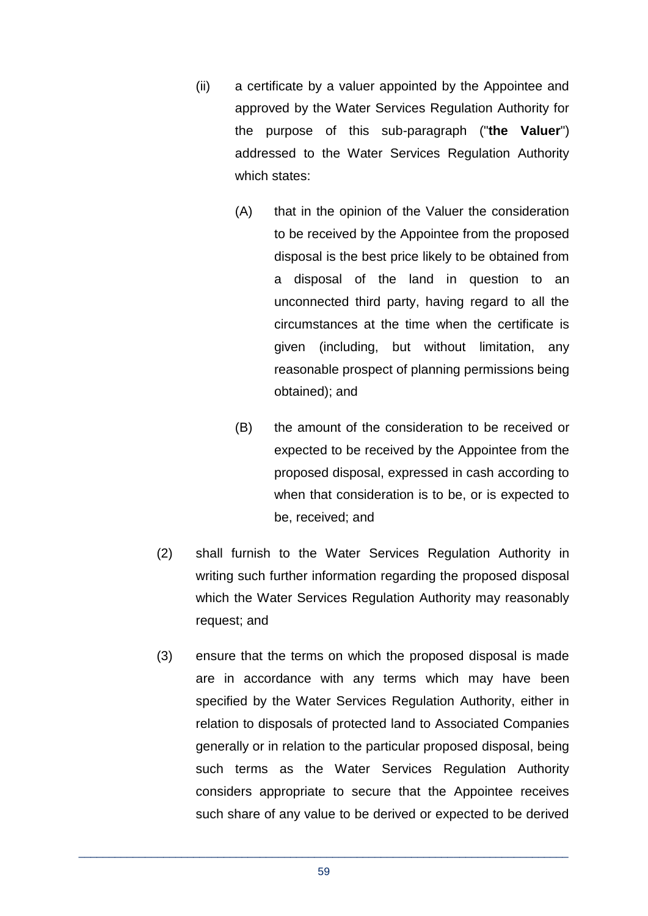- (ii) a certificate by a valuer appointed by the Appointee and approved by the Water Services Regulation Authority for the purpose of this sub-paragraph ("**the Valuer**") addressed to the Water Services Regulation Authority which states:
	- (A) that in the opinion of the Valuer the consideration to be received by the Appointee from the proposed disposal is the best price likely to be obtained from a disposal of the land in question to an unconnected third party, having regard to all the circumstances at the time when the certificate is given (including, but without limitation, any reasonable prospect of planning permissions being obtained); and
	- (B) the amount of the consideration to be received or expected to be received by the Appointee from the proposed disposal, expressed in cash according to when that consideration is to be, or is expected to be, received; and
- (2) shall furnish to the Water Services Regulation Authority in writing such further information regarding the proposed disposal which the Water Services Regulation Authority may reasonably request; and
- (3) ensure that the terms on which the proposed disposal is made are in accordance with any terms which may have been specified by the Water Services Regulation Authority, either in relation to disposals of protected land to Associated Companies generally or in relation to the particular proposed disposal, being such terms as the Water Services Regulation Authority considers appropriate to secure that the Appointee receives such share of any value to be derived or expected to be derived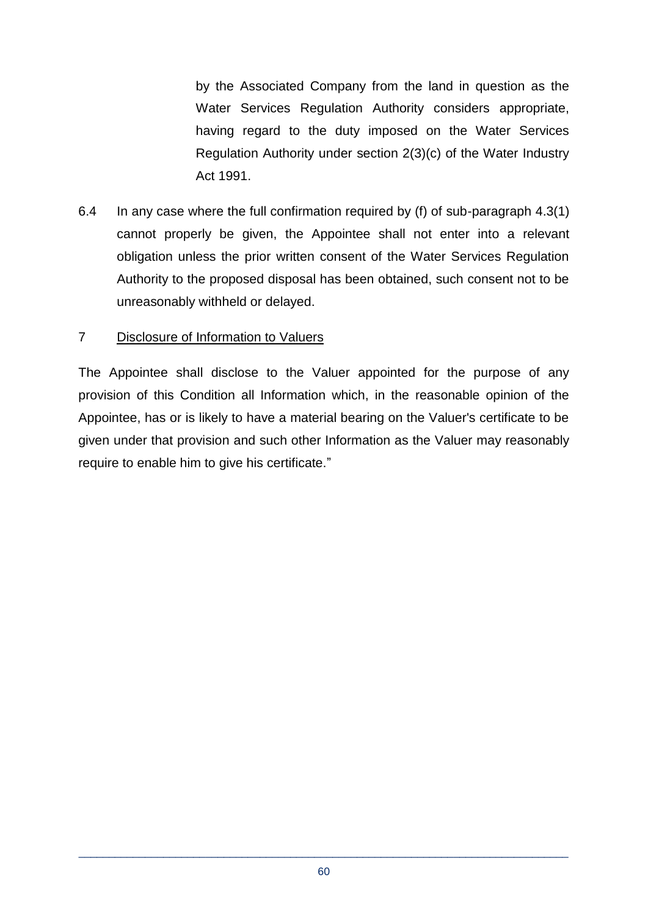by the Associated Company from the land in question as the Water Services Regulation Authority considers appropriate, having regard to the duty imposed on the Water Services Regulation Authority under section 2(3)(c) of the Water Industry Act 1991.

6.4 In any case where the full confirmation required by (f) of sub-paragraph 4.3(1) cannot properly be given, the Appointee shall not enter into a relevant obligation unless the prior written consent of the Water Services Regulation Authority to the proposed disposal has been obtained, such consent not to be unreasonably withheld or delayed.

#### 7 Disclosure of Information to Valuers

The Appointee shall disclose to the Valuer appointed for the purpose of any provision of this Condition all Information which, in the reasonable opinion of the Appointee, has or is likely to have a material bearing on the Valuer's certificate to be given under that provision and such other Information as the Valuer may reasonably require to enable him to give his certificate."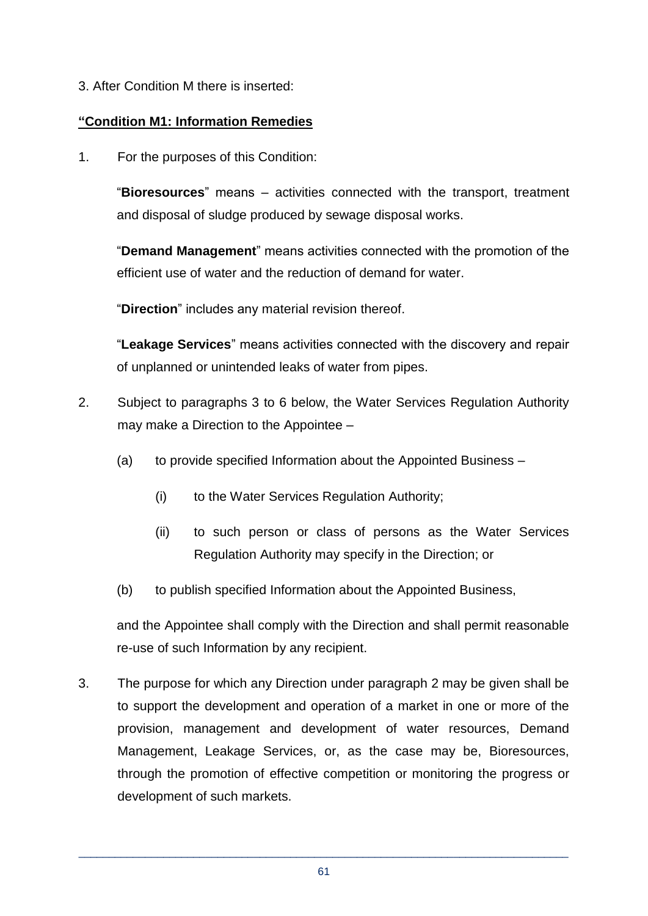3. After Condition M there is inserted:

## **"Condition M1: Information Remedies**

1. For the purposes of this Condition:

"**Bioresources**" means – activities connected with the transport, treatment and disposal of sludge produced by sewage disposal works.

"**Demand Management**" means activities connected with the promotion of the efficient use of water and the reduction of demand for water.

"**Direction**" includes any material revision thereof.

"**Leakage Services**" means activities connected with the discovery and repair of unplanned or unintended leaks of water from pipes.

- 2. Subject to paragraphs 3 to 6 below, the Water Services Regulation Authority may make a Direction to the Appointee –
	- (a) to provide specified Information about the Appointed Business
		- (i) to the Water Services Regulation Authority;
		- (ii) to such person or class of persons as the Water Services Regulation Authority may specify in the Direction; or
	- (b) to publish specified Information about the Appointed Business,

and the Appointee shall comply with the Direction and shall permit reasonable re-use of such Information by any recipient.

3. The purpose for which any Direction under paragraph 2 may be given shall be to support the development and operation of a market in one or more of the provision, management and development of water resources, Demand Management, Leakage Services, or, as the case may be, Bioresources, through the promotion of effective competition or monitoring the progress or development of such markets.